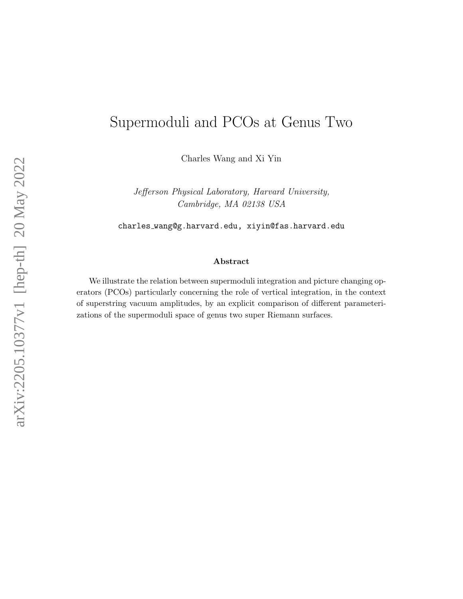# Supermoduli and PCOs at Genus Two

Charles Wang and Xi Yin

Jefferson Physical Laboratory, Harvard University, Cambridge, MA 02138 USA

charles wang@g.harvard.edu, xiyin@fas.harvard.edu

#### Abstract

We illustrate the relation between supermoduli integration and picture changing operators (PCOs) particularly concerning the role of vertical integration, in the context of superstring vacuum amplitudes, by an explicit comparison of different parameterizations of the supermoduli space of genus two super Riemann surfaces.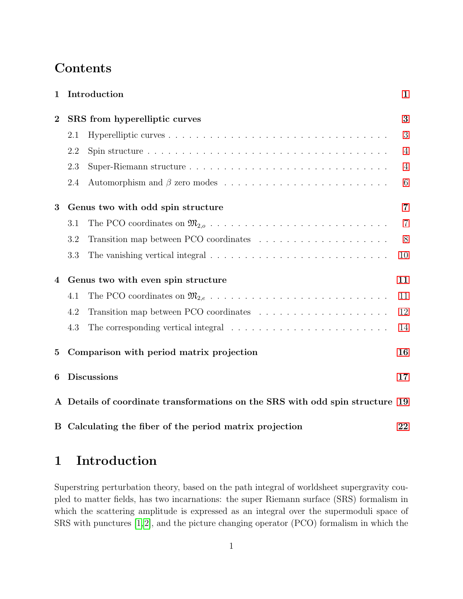# Contents

| $\mathbf 1$    |                                                                               | Introduction                                                                                  | $\mathbf{1}$   |
|----------------|-------------------------------------------------------------------------------|-----------------------------------------------------------------------------------------------|----------------|
| $\overline{2}$ | SRS from hyperelliptic curves                                                 |                                                                                               | 3              |
|                | 2.1                                                                           |                                                                                               | 3              |
|                | 2.2                                                                           |                                                                                               | $\overline{4}$ |
|                | 2.3                                                                           |                                                                                               | $\overline{4}$ |
|                | 2.4                                                                           |                                                                                               | 6              |
| 3              | Genus two with odd spin structure                                             |                                                                                               |                |
|                | 3.1                                                                           |                                                                                               | $\overline{7}$ |
|                | 3.2                                                                           |                                                                                               | 8              |
|                | 3.3                                                                           |                                                                                               | 10             |
| 4              | Genus two with even spin structure                                            |                                                                                               | 11             |
|                | 4.1                                                                           |                                                                                               | 11             |
|                | 4.2                                                                           |                                                                                               | 12             |
|                | 4.3                                                                           | The corresponding vertical integral $\ldots \ldots \ldots \ldots \ldots \ldots \ldots \ldots$ | 14             |
| $\bf{5}$       | Comparison with period matrix projection                                      |                                                                                               | 16             |
| 6              | <b>Discussions</b>                                                            |                                                                                               | 17             |
|                | A Details of coordinate transformations on the SRS with odd spin structure 19 |                                                                                               |                |
|                |                                                                               | B Calculating the fiber of the period matrix projection                                       | 22             |

# <span id="page-1-0"></span>1 Introduction

Superstring perturbation theory, based on the path integral of worldsheet supergravity coupled to matter fields, has two incarnations: the super Riemann surface (SRS) formalism in which the scattering amplitude is expressed as an integral over the supermoduli space of SRS with punctures [\[1,](#page-25-0)[2\]](#page-25-1), and the picture changing operator (PCO) formalism in which the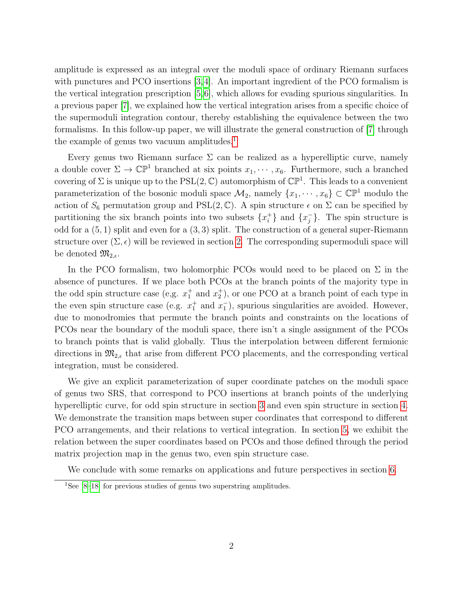amplitude is expressed as an integral over the moduli space of ordinary Riemann surfaces with punctures and PCO insertions [\[3,](#page-25-2)[4\]](#page-25-3). An important ingredient of the PCO formalism is the vertical integration prescription [\[5,](#page-25-4)[6\]](#page-25-5), which allows for evading spurious singularities. In a previous paper [\[7\]](#page-25-6), we explained how the vertical integration arises from a specific choice of the supermoduli integration contour, thereby establishing the equivalence between the two formalisms. In this follow-up paper, we will illustrate the general construction of [\[7\]](#page-25-6) through the example of genus two vacuum amplitudes.<sup>[1](#page-2-0)</sup>

Every genus two Riemann surface  $\Sigma$  can be realized as a hyperelliptic curve, namely a double cover  $\Sigma \to \mathbb{CP}^1$  branched at six points  $x_1, \dots, x_6$ . Furthermore, such a branched covering of  $\Sigma$  is unique up to the PSL $(2, \mathbb{C})$  automorphism of  $\mathbb{CP}^1$ . This leads to a convenient parameterization of the bosonic moduli space  $\mathcal{M}_2$ , namely  $\{x_1, \dots, x_6\} \subset \mathbb{CP}^1$  modulo the action of  $S_6$  permutation group and PSL(2, C). A spin structure  $\epsilon$  on  $\Sigma$  can be specified by partitioning the six branch points into two subsets  $\{x_i^+\}$  $\{x_i^+\}$  and  $\{x_j^-\}$  $_{j}^{-}$ . The spin structure is odd for a  $(5, 1)$  split and even for a  $(3, 3)$  split. The construction of a general super-Riemann structure over  $(\Sigma, \epsilon)$  will be reviewed in section [2.](#page-3-0) The corresponding supermoduli space will be denoted  $\mathfrak{M}_{2,\epsilon}$ .

In the PCO formalism, two holomorphic PCOs would need to be placed on  $\Sigma$  in the absence of punctures. If we place both PCOs at the branch points of the majority type in the odd spin structure case (e.g.  $x_1^+$  and  $x_2^+$ ), or one PCO at a branch point of each type in the even spin structure case (e.g.  $x_1^+$  and  $x_1^-$ ), spurious singularities are avoided. However, due to monodromies that permute the branch points and constraints on the locations of PCOs near the boundary of the moduli space, there isn't a single assignment of the PCOs to branch points that is valid globally. Thus the interpolation between different fermionic directions in  $\mathfrak{M}_{2,\epsilon}$  that arise from different PCO placements, and the corresponding vertical integration, must be considered.

We give an explicit parameterization of super coordinate patches on the moduli space of genus two SRS, that correspond to PCO insertions at branch points of the underlying hyperelliptic curve, for odd spin structure in section [3](#page-7-0) and even spin structure in section [4.](#page-11-0) We demonstrate the transition maps between super coordinates that correspond to different PCO arrangements, and their relations to vertical integration. In section [5,](#page-16-0) we exhibit the relation between the super coordinates based on PCOs and those defined through the period matrix projection map in the genus two, even spin structure case.

We conclude with some remarks on applications and future perspectives in section [6.](#page-17-0)

<span id="page-2-0"></span><sup>&</sup>lt;sup>1</sup>See  $[8-18]$  $[8-18]$  for previous studies of genus two superstring amplitudes.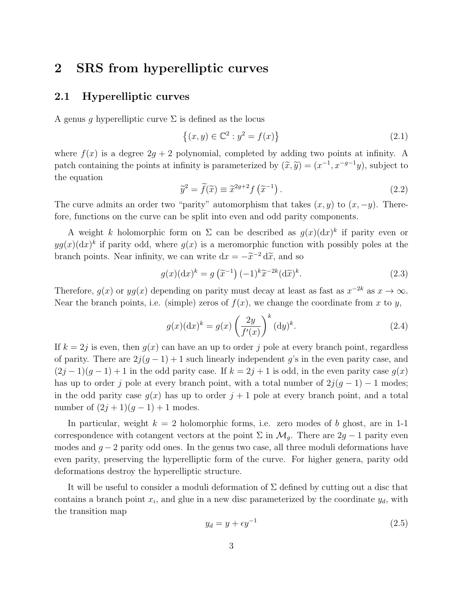## <span id="page-3-0"></span>2 SRS from hyperelliptic curves

#### <span id="page-3-1"></span>2.1 Hyperelliptic curves

A genus g hyperelliptic curve  $\Sigma$  is defined as the locus

<span id="page-3-4"></span>
$$
\{(x, y) \in \mathbb{C}^2 : y^2 = f(x)\}\tag{2.1}
$$

where  $f(x)$  is a degree  $2q + 2$  polynomial, completed by adding two points at infinity. A patch containing the points at infinity is parameterized by  $(\tilde{x}, \tilde{y}) = (x^{-1}, x^{-g-1}y)$ , subject to the equation

<span id="page-3-3"></span>
$$
\widetilde{y}^2 = \widetilde{f}(\widetilde{x}) \equiv \widetilde{x}^{2g+2} f\left(\widetilde{x}^{-1}\right). \tag{2.2}
$$

The curve admits an order two "parity" automorphism that takes  $(x, y)$  to  $(x, -y)$ . Therefore, functions on the curve can be split into even and odd parity components.

A weight k holomorphic form on  $\Sigma$  can be described as  $g(x)(dx)^k$  if parity even or  $yg(x)(dx)^k$  if parity odd, where  $g(x)$  is a meromorphic function with possibly poles at the branch points. Near infinity, we can write  $dx = -\tilde{x}^{-2} d\tilde{x}$ , and so

$$
g(x)(dx)^k = g\left(\tilde{x}^{-1}\right)(-1)^k \tilde{x}^{-2k}(d\tilde{x})^k.
$$
 (2.3)

Therefore,  $g(x)$  or  $yg(x)$  depending on parity must decay at least as fast as  $x^{-2k}$  as  $x \to \infty$ . Near the branch points, i.e. (simple) zeros of  $f(x)$ , we change the coordinate from x to y,

$$
g(x)(dx)^k = g(x)\left(\frac{2y}{f'(x)}\right)^k (dy)^k.
$$
\n(2.4)

If  $k = 2j$  is even, then  $g(x)$  can have an up to order j pole at every branch point, regardless of parity. There are  $2i(q-1)+1$  such linearly independent q's in the even parity case, and  $(2j-1)(g-1)+1$  in the odd parity case. If  $k=2j+1$  is odd, in the even parity case  $g(x)$ has up to order j pole at every branch point, with a total number of  $2j(g - 1) - 1$  modes; in the odd parity case  $g(x)$  has up to order  $j + 1$  pole at every branch point, and a total number of  $(2j + 1)(g - 1) + 1$  modes.

In particular, weight  $k = 2$  holomorphic forms, i.e. zero modes of b ghost, are in 1-1 correspondence with cotangent vectors at the point  $\Sigma$  in  $\mathcal{M}_q$ . There are 2g – 1 parity even modes and  $g - 2$  parity odd ones. In the genus two case, all three moduli deformations have even parity, preserving the hyperelliptic form of the curve. For higher genera, parity odd deformations destroy the hyperelliptic structure.

It will be useful to consider a moduli deformation of  $\Sigma$  defined by cutting out a disc that contains a branch point  $x_i$ , and glue in a new disc parameterized by the coordinate  $y_d$ , with the transition map

<span id="page-3-2"></span>
$$
y_d = y + \epsilon y^{-1} \tag{2.5}
$$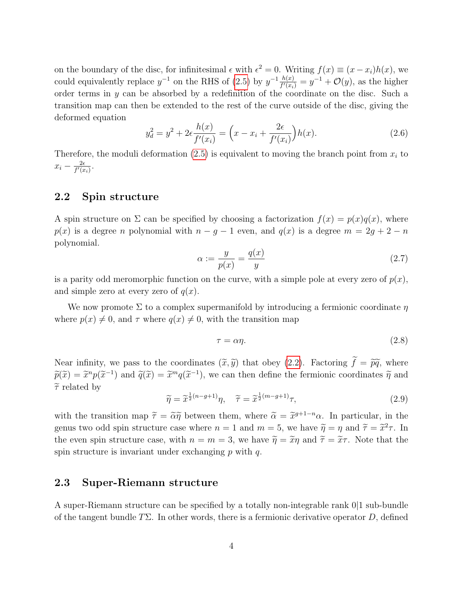on the boundary of the disc, for infinitesimal  $\epsilon$  with  $\epsilon^2 = 0$ . Writing  $f(x) \equiv (x - x_i)h(x)$ , we could equivalently replace  $y^{-1}$  on the RHS of [\(2.5\)](#page-3-2) by  $y^{-1} \frac{h(x)}{f'(x)}$  $\frac{h(x)}{f'(x_i)} = y^{-1} + \mathcal{O}(y)$ , as the higher order terms in y can be absorbed by a redefinition of the coordinate on the disc. Such a transition map can then be extended to the rest of the curve outside of the disc, giving the deformed equation

$$
y_d^2 = y^2 + 2\epsilon \frac{h(x)}{f'(x_i)} = \left(x - x_i + \frac{2\epsilon}{f'(x_i)}\right)h(x).
$$
 (2.6)

Therefore, the moduli deformation  $(2.5)$  is equivalent to moving the branch point from  $x_i$  to  $x_i - \frac{2\epsilon}{f'(x)}$  $\frac{2\epsilon}{f'(x_i)}$ .

### <span id="page-4-0"></span>2.2 Spin structure

A spin structure on  $\Sigma$  can be specified by choosing a factorization  $f(x) = p(x)q(x)$ , where  $p(x)$  is a degree n polynomial with  $n - g - 1$  even, and  $q(x)$  is a degree  $m = 2g + 2 - n$ polynomial.

<span id="page-4-2"></span>
$$
\alpha := \frac{y}{p(x)} = \frac{q(x)}{y} \tag{2.7}
$$

is a parity odd meromorphic function on the curve, with a simple pole at every zero of  $p(x)$ , and simple zero at every zero of  $q(x)$ .

We now promote  $\Sigma$  to a complex supermanifold by introducing a fermionic coordinate  $\eta$ where  $p(x) \neq 0$ , and  $\tau$  where  $q(x) \neq 0$ , with the transition map

<span id="page-4-3"></span>
$$
\tau = \alpha \eta. \tag{2.8}
$$

Near infinity, we pass to the coordinates  $(\tilde{x}, \tilde{y})$  that obey [\(2.2\)](#page-3-3). Factoring  $\tilde{f} = \tilde{p}\tilde{q}$ , where  $\widetilde{p}(\widetilde{x}) = \widetilde{x}^n p(\widetilde{x}^{-1})$  and  $\widetilde{q}(\widetilde{x}) = \widetilde{x}^m q(\widetilde{x}^{-1})$ , we can then define the fermionic coordinates  $\widetilde{\eta}$  and  $\widetilde{\eta}$  $\widetilde{\tau}$  related by

$$
\widetilde{\eta} = \widetilde{x}^{\frac{1}{2}(n-g+1)}\eta, \quad \widetilde{\tau} = \widetilde{x}^{\frac{1}{2}(m-g+1)}\tau,
$$
\n(2.9)

with the transition map  $\tilde{\tau} = \tilde{\alpha}\tilde{\eta}$  between them, where  $\tilde{\alpha} = \tilde{x}^{g+1-n}\alpha$ . In particular, in the genus two odd spin structure case where  $n = 1$  and  $m = 5$ , we have  $\widetilde{\eta} = \eta$  and  $\widetilde{\tau} = \widetilde{x}^2 \tau$ . In the even spin structure case, with  $n = m = 3$ , we have  $\widetilde{\eta} = \widetilde{x}\eta$  and  $\widetilde{\tau} = \widetilde{x}\tau$ . Note that the spin structure is invariant under exchanging  $p$  with  $q$ .

### <span id="page-4-1"></span>2.3 Super-Riemann structure

A super-Riemann structure can be specified by a totally non-integrable rank 0|1 sub-bundle of the tangent bundle  $T\Sigma$ . In other words, there is a fermionic derivative operator D, defined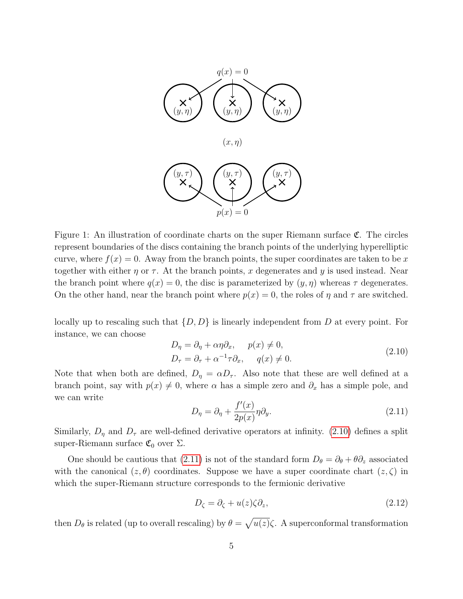

Figure 1: An illustration of coordinate charts on the super Riemann surface C. The circles represent boundaries of the discs containing the branch points of the underlying hyperelliptic curve, where  $f(x) = 0$ . Away from the branch points, the super coordinates are taken to be x together with either  $\eta$  or  $\tau$ . At the branch points, x degenerates and y is used instead. Near the branch point where  $q(x) = 0$ , the disc is parameterized by  $(y, \eta)$  whereas  $\tau$  degenerates. On the other hand, near the branch point where  $p(x) = 0$ , the roles of  $\eta$  and  $\tau$  are switched.

locally up to rescaling such that  $\{D, D\}$  is linearly independent from D at every point. For instance, we can choose

<span id="page-5-0"></span>
$$
D_{\eta} = \partial_{\eta} + \alpha \eta \partial_{x}, \quad p(x) \neq 0,
$$
  
\n
$$
D_{\tau} = \partial_{\tau} + \alpha^{-1} \tau \partial_{x}, \quad q(x) \neq 0.
$$
\n(2.10)

Note that when both are defined,  $D_{\eta} = \alpha D_{\tau}$ . Also note that these are well defined at a branch point, say with  $p(x) \neq 0$ , where  $\alpha$  has a simple zero and  $\partial_x$  has a simple pole, and we can write

<span id="page-5-1"></span>
$$
D_{\eta} = \partial_{\eta} + \frac{f'(x)}{2p(x)} \eta \partial_{y}.
$$
\n(2.11)

Similarly,  $D_{\eta}$  and  $D_{\tau}$  are well-defined derivative operators at infinity. [\(2.10\)](#page-5-0) defines a split super-Riemann surface  $\mathfrak{C}_0$  over  $\Sigma$ .

One should be cautious that [\(2.11\)](#page-5-1) is not of the standard form  $D_{\theta} = \partial_{\theta} + \theta \partial_{z}$  associated with the canonical  $(z, \theta)$  coordinates. Suppose we have a super coordinate chart  $(z, \zeta)$  in which the super-Riemann structure corresponds to the fermionic derivative

$$
D_{\zeta} = \partial_{\zeta} + u(z)\zeta \partial_z, \tag{2.12}
$$

then  $D_{\theta}$  is related (up to overall rescaling) by  $\theta = \sqrt{u(z)}\zeta$ . A superconformal transformation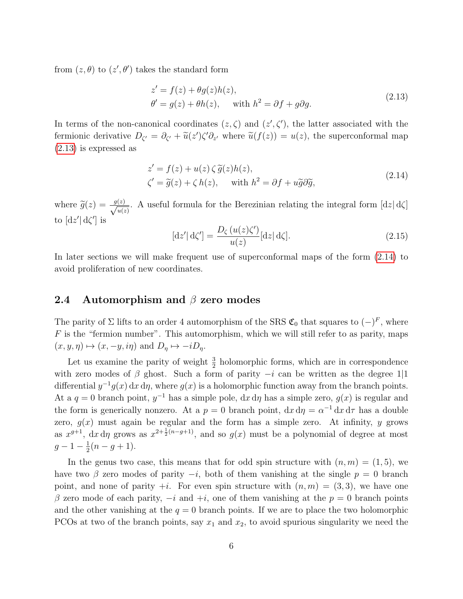from  $(z, \theta)$  to  $(z', \theta')$  takes the standard form

<span id="page-6-1"></span>
$$
z' = f(z) + \theta g(z)h(z),
$$
  
\n
$$
\theta' = g(z) + \theta h(z), \quad \text{with } h^2 = \partial f + g \partial g.
$$
\n(2.13)

In terms of the non-canonical coordinates  $(z, \zeta)$  and  $(z', \zeta')$ , the latter associated with the fermionic derivative  $D_{\zeta'} = \partial_{\zeta'} + \tilde{u}(z')\zeta'\partial_{z'}$  where  $\tilde{u}(f(z)) = u(z)$ , the superconformal map [\(2.13\)](#page-6-1) is expressed as

<span id="page-6-2"></span>
$$
z' = f(z) + u(z) \zeta \tilde{g}(z)h(z),
$$
  
\n
$$
\zeta' = \tilde{g}(z) + \zeta h(z), \quad \text{with } h^2 = \partial f + u\tilde{g}\partial\tilde{g},
$$
\n(2.14)

where  $\widetilde{g}(z) = \frac{g(z)}{\sqrt{u(z)}}$  $\frac{(z)}{u(z)}$ . A useful formula for the Berezinian relating the integral form  $\lfloor dz \rfloor d\zeta$ to  $\left[ dz^{\prime}\right] d\zeta^{\prime}$  is

<span id="page-6-3"></span>
$$
[dz'] d\zeta' = \frac{D_{\zeta}(u(z)\zeta')}{u(z)} [dz] d\zeta].
$$
\n(2.15)

In later sections we will make frequent use of superconformal maps of the form [\(2.14\)](#page-6-2) to avoid proliferation of new coordinates.

#### <span id="page-6-0"></span>2.4 Automorphism and  $\beta$  zero modes

The parity of  $\Sigma$  lifts to an order 4 automorphism of the SRS  $\mathfrak{C}_0$  that squares to  $(-)^F$ , where  $F$  is the "fermion number". This automorphism, which we will still refer to as parity, maps  $(x, y, \eta) \mapsto (x, -y, i\eta)$  and  $D_{\eta} \mapsto -iD_{\eta}$ .

Let us examine the parity of weight  $\frac{3}{2}$  holomorphic forms, which are in correspondence with zero modes of  $\beta$  ghost. Such a form of parity  $-i$  can be written as the degree 1|1 differential  $y^{-1}g(x) dx d\eta$ , where  $g(x)$  is a holomorphic function away from the branch points. At a  $q = 0$  branch point,  $y^{-1}$  has a simple pole,  $dx d\eta$  has a simple zero,  $g(x)$  is regular and the form is generically nonzero. At a  $p = 0$  branch point,  $dx d\eta = \alpha^{-1} dx d\tau$  has a double zero,  $g(x)$  must again be regular and the form has a simple zero. At infinity, y grows as  $x^{g+1}$ , dx d $\eta$  grows as  $x^{2+\frac{1}{2}(n-g+1)}$ , and so  $g(x)$  must be a polynomial of degree at most  $g-1-\frac{1}{2}$  $rac{1}{2}(n-g+1).$ 

In the genus two case, this means that for odd spin structure with  $(n, m) = (1, 5)$ , we have two  $\beta$  zero modes of parity  $-i$ , both of them vanishing at the single  $p = 0$  branch point, and none of parity  $+i$ . For even spin structure with  $(n, m) = (3, 3)$ , we have one β zero mode of each parity,  $-i$  and  $+i$ , one of them vanishing at the  $p = 0$  branch points and the other vanishing at the  $q = 0$  branch points. If we are to place the two holomorphic PCOs at two of the branch points, say  $x_1$  and  $x_2$ , to avoid spurious singularity we need the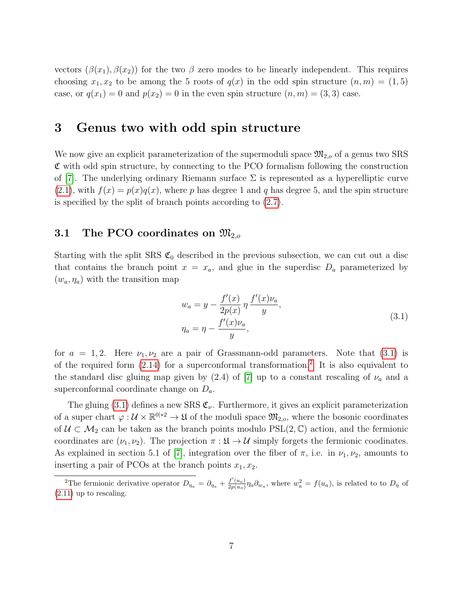vectors  $(\beta(x_1), \beta(x_2))$  for the two  $\beta$  zero modes to be linearly independent. This requires choosing  $x_1, x_2$  to be among the 5 roots of  $q(x)$  in the odd spin structure  $(n, m) = (1, 5)$ case, or  $q(x_1) = 0$  and  $p(x_2) = 0$  in the even spin structure  $(n, m) = (3, 3)$  case.

## <span id="page-7-0"></span>3 Genus two with odd spin structure

We now give an explicit parameterization of the supermoduli space  $\mathfrak{M}_{2,o}$  of a genus two SRS  $\mathfrak C$  with odd spin structure, by connecting to the PCO formalism following the construction of [\[7\]](#page-25-6). The underlying ordinary Riemann surface  $\Sigma$  is represented as a hyperelliptic curve  $(2.1)$ , with  $f(x) = p(x)q(x)$ , where p has degree 1 and q has degree 5, and the spin structure is specified by the split of branch points according to [\(2.7\)](#page-4-2).

### <span id="page-7-1"></span>3.1 The PCO coordinates on  $\mathfrak{M}_{2,o}$

Starting with the split SRS  $\mathfrak{C}_0$  described in the previous subsection, we can cut out a disc that contains the branch point  $x = x_a$ , and glue in the superdisc  $D_a$  parameterized by  $(w_a, \eta_a)$  with the transition map

<span id="page-7-2"></span>
$$
w_a = y - \frac{f'(x)}{2p(x)} \eta \frac{f'(x)\nu_a}{y},
$$
  
\n
$$
\eta_a = \eta - \frac{f'(x)\nu_a}{y},
$$
\n(3.1)

for  $a = 1, 2$ . Here  $\nu_1, \nu_2$  are a pair of Grassmann-odd parameters. Note that [\(3.1\)](#page-7-2) is of the required form  $(2.14)$  for a superconformal transformation.<sup>[2](#page-7-3)</sup> It is also equivalent to the standard disc gluing map given by  $(2.4)$  of [\[7\]](#page-25-6) up to a constant rescaling of  $\nu_a$  and a superconformal coordinate change on  $D_a$ .

The gluing [\(3.1\)](#page-7-2) defines a new SRS  $\mathfrak{C}_{\nu}$ . Furthermore, it gives an explicit parameterization of a super chart  $\varphi: \mathcal{U} \times \mathbb{R}^{0|*2} \to \mathfrak{U}$  of the moduli space  $\mathfrak{M}_{2,o}$ , where the bosonic coordinates of  $U \subset \mathcal{M}_2$  can be taken as the branch points modulo PSL(2,  $\mathbb{C}$ ) action, and the fermionic coordinates are  $(\nu_1, \nu_2)$ . The projection  $\pi : \mathfrak{U} \to \mathcal{U}$  simply forgets the fermionic coodinates. As explained in section 5.1 of [\[7\]](#page-25-6), integration over the fiber of  $\pi$ , i.e. in  $\nu_1, \nu_2$ , amounts to inserting a pair of PCOs at the branch points  $x_1, x_2$ .

<span id="page-7-3"></span><sup>&</sup>lt;sup>2</sup>The fermionic derivative operator  $D_{\eta_a} = \partial_{\eta_a} + \frac{f'(u_a)}{2p(u_a)}$  $\frac{f'(u_a)}{2p(u_a)}\eta_a\partial_{w_a}$ , where  $w_a^2 = f(u_a)$ , is related to to  $D_\eta$  of [\(2.11\)](#page-5-1) up to rescaling.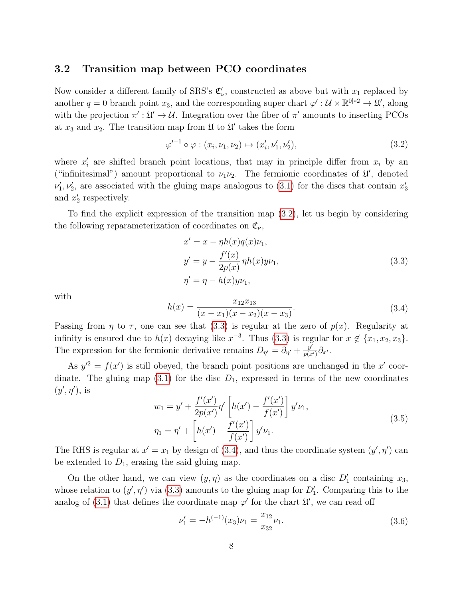#### <span id="page-8-0"></span>3.2 Transition map between PCO coordinates

Now consider a different family of SRS's  $\mathfrak{C}'_{\nu}$ , constructed as above but with  $x_1$  replaced by another  $q = 0$  branch point  $x_3$ , and the corresponding super chart  $\varphi' : \mathcal{U} \times \mathbb{R}^{0|+2} \to \mathcal{U}'$ , along with the projection  $\pi': \mathcal{U} \to \mathcal{U}$ . Integration over the fiber of  $\pi'$  amounts to inserting PCOs at  $x_3$  and  $x_2$ . The transition map from  $\mathfrak U$  to  $\mathfrak U'$  takes the form

<span id="page-8-1"></span>
$$
\varphi'^{-1} \circ \varphi : (x_i, \nu_1, \nu_2) \mapsto (x'_i, \nu'_1, \nu'_2), \tag{3.2}
$$

where  $x_i'$  are shifted branch point locations, that may in principle differ from  $x_i$  by an ("infinitesimal") amount proportional to  $\nu_1 \nu_2$ . The fermionic coordinates of  $\mathfrak{U}'$ , denoted  $\nu'_1, \nu'_2$ , are associated with the gluing maps analogous to [\(3.1\)](#page-7-2) for the discs that contain  $x'_3$ and  $x'_2$  respectively.

To find the explicit expression of the transition map [\(3.2\)](#page-8-1), let us begin by considering the following reparameterization of coordinates on  $\mathfrak{C}_{\nu}$ ,

<span id="page-8-2"></span>
$$
x' = x - \eta h(x)q(x)\nu_1,
$$
  
\n
$$
y' = y - \frac{f'(x)}{2p(x)}\eta h(x)y\nu_1,
$$
  
\n
$$
\eta' = \eta - h(x)y\nu_1,
$$
\n(3.3)

with

<span id="page-8-3"></span>
$$
h(x) = \frac{x_{12}x_{13}}{(x - x_1)(x - x_2)(x - x_3)}.\t(3.4)
$$

Passing from  $\eta$  to  $\tau$ , one can see that [\(3.3\)](#page-8-2) is regular at the zero of  $p(x)$ . Regularity at infinity is ensured due to  $h(x)$  decaying like  $x^{-3}$ . Thus [\(3.3\)](#page-8-2) is regular for  $x \notin \{x_1, x_2, x_3\}$ . The expression for the fermionic derivative remains  $D_{\eta'} = \partial_{\eta'} + \frac{y'}{p(x)}$  $\frac{y'}{p(x')} \partial_{x'}$ .

As  $y'^2 = f(x')$  is still obeyed, the branch point positions are unchanged in the x' coordinate. The gluing map  $(3.1)$  for the disc  $D_1$ , expressed in terms of the new coordinates  $(y', \eta')$ , is

$$
w_1 = y' + \frac{f'(x')}{2p(x')} \eta' \left[ h(x') - \frac{f'(x')}{f(x')} \right] y' \nu_1,
$$
  

$$
\eta_1 = \eta' + \left[ h(x') - \frac{f'(x')}{f(x')} \right] y' \nu_1.
$$
 (3.5)

The RHS is regular at  $x' = x_1$  by design of [\(3.4\)](#page-8-3), and thus the coordinate system  $(y', \eta')$  can be extended to  $D_1$ , erasing the said gluing map.

On the other hand, we can view  $(y, \eta)$  as the coordinates on a disc  $D'_1$  containing  $x_3$ , whose relation to  $(y', \eta')$  via [\(3.3\)](#page-8-2) amounts to the gluing map for  $D'_1$ . Comparing this to the analog of [\(3.1\)](#page-7-2) that defines the coordinate map  $\varphi'$  for the chart  $\mathfrak{U}'$ , we can read off

<span id="page-8-4"></span>
$$
\nu_1' = -h^{(-1)}(x_3)\nu_1 = \frac{x_{12}}{x_{32}}\nu_1.
$$
\n(3.6)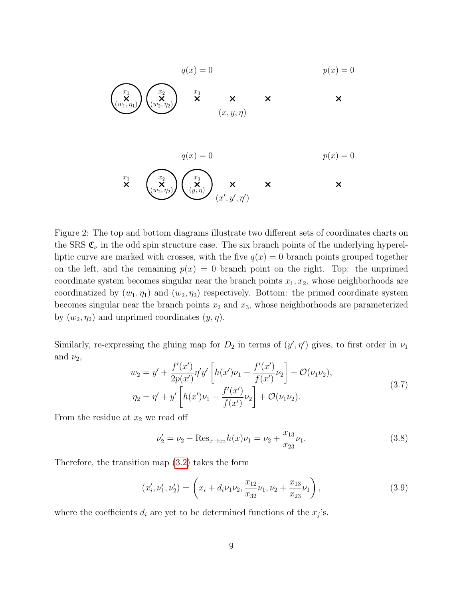$$
q(x) = 0
$$
\n
$$
p(x) = 0
$$
\n
$$
p(x) = 0
$$
\n
$$
p(x) = 0
$$
\n
$$
p(x) = 0
$$
\n
$$
p(x) = 0
$$
\n
$$
p(x) = 0
$$
\n
$$
p(x) = 0
$$
\n
$$
p(x) = 0
$$
\n
$$
p(x) = 0
$$
\n
$$
p(x) = 0
$$
\n
$$
p(x) = 0
$$
\n
$$
p(x) = 0
$$
\n
$$
p(x) = 0
$$
\n
$$
p(x) = 0
$$
\n
$$
p(x) = 0
$$
\n
$$
p(x) = 0
$$
\n
$$
p(x) = 0
$$
\n
$$
p(x) = 0
$$

Figure 2: The top and bottom diagrams illustrate two different sets of coordinates charts on the SRS  $\mathfrak{C}_{\nu}$  in the odd spin structure case. The six branch points of the underlying hyperelliptic curve are marked with crosses, with the five  $q(x) = 0$  branch points grouped together on the left, and the remaining  $p(x) = 0$  branch point on the right. Top: the unprimed coordinate system becomes singular near the branch points  $x_1, x_2$ , whose neighborhoods are coordinatized by  $(w_1, \eta_1)$  and  $(w_2, \eta_2)$  respectively. Bottom: the primed coordinate system becomes singular near the branch points  $x_2$  and  $x_3$ , whose neighborhoods are parameterized by  $(w_2, \eta_2)$  and unprimed coordinates  $(y, \eta)$ .

Similarly, re-expressing the gluing map for  $D_2$  in terms of  $(y', \eta')$  gives, to first order in  $\nu_1$ and  $\nu_2$ ,

$$
w_2 = y' + \frac{f'(x')}{2p(x')} \eta' y' \left[ h(x')\nu_1 - \frac{f'(x')}{f(x')} \nu_2 \right] + \mathcal{O}(\nu_1 \nu_2),
$$
  
\n
$$
\eta_2 = \eta' + y' \left[ h(x')\nu_1 - \frac{f'(x')}{f(x')} \nu_2 \right] + \mathcal{O}(\nu_1 \nu_2).
$$
\n(3.7)

From the residue at  $x_2$  we read off

<span id="page-9-1"></span>
$$
\nu_2' = \nu_2 - \text{Res}_{x \to x_2} h(x)\nu_1 = \nu_2 + \frac{x_{13}}{x_{23}}\nu_1. \tag{3.8}
$$

Therefore, the transition map [\(3.2\)](#page-8-1) takes the form

<span id="page-9-0"></span>
$$
(x'_i, \nu'_1, \nu'_2) = \left(x_i + d_i \nu_1 \nu_2, \frac{x_{12}}{x_{32}} \nu_1, \nu_2 + \frac{x_{13}}{x_{23}} \nu_1\right),\tag{3.9}
$$

where the coefficients  $d_i$  are yet to be determined functions of the  $x_j$ 's.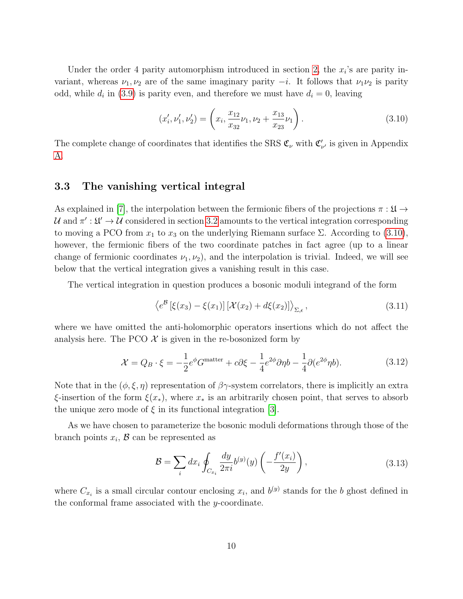Under the order 4 parity automorphism introduced in section [2,](#page-3-0) the  $x_i$ 's are parity invariant, whereas  $\nu_1, \nu_2$  are of the same imaginary parity  $-i$ . It follows that  $\nu_1\nu_2$  is parity odd, while  $d_i$  in [\(3.9\)](#page-9-0) is parity even, and therefore we must have  $d_i = 0$ , leaving

<span id="page-10-1"></span>
$$
(x'_i, \nu'_1, \nu'_2) = \left(x_i, \frac{x_{12}}{x_{32}}\nu_1, \nu_2 + \frac{x_{13}}{x_{23}}\nu_1\right). \tag{3.10}
$$

The complete change of coordinates that identifies the SRS  $\mathfrak{C}_{\nu}$  with  $\mathfrak{C}'_{\nu'}$  is given in Appendix [A.](#page-19-0)

#### <span id="page-10-0"></span>3.3 The vanishing vertical integral

As explained in [\[7\]](#page-25-6), the interpolation between the fermionic fibers of the projections  $\pi : \mathfrak{U} \to$  $\mathcal{U}$  and  $\pi': \mathfrak{U}' \to \mathcal{U}$  considered in section [3.2](#page-8-0) amounts to the vertical integration corresponding to moving a PCO from  $x_1$  to  $x_3$  on the underlying Riemann surface  $\Sigma$ . According to [\(3.10\)](#page-10-1), however, the fermionic fibers of the two coordinate patches in fact agree (up to a linear change of fermionic coordinates  $\nu_1, \nu_2$ , and the interpolation is trivial. Indeed, we will see below that the vertical integration gives a vanishing result in this case.

The vertical integration in question produces a bosonic moduli integrand of the form

<span id="page-10-2"></span>
$$
\left\langle e^{\mathcal{B}}\left[\xi(x_3) - \xi(x_1)\right] \left[\mathcal{X}(x_2) + d\xi(x_2)\right]\right\rangle_{\Sigma,\epsilon},\tag{3.11}
$$

where we have omitted the anti-holomorphic operators insertions which do not affect the analysis here. The PCO  $\mathcal X$  is given in the re-bosonized form by

$$
\mathcal{X} = Q_B \cdot \xi = -\frac{1}{2} e^{\phi} G^{\text{matter}} + c \partial \xi - \frac{1}{4} e^{2\phi} \partial \eta b - \frac{1}{4} \partial (e^{2\phi} \eta b). \tag{3.12}
$$

Note that in the  $(\phi, \xi, \eta)$  representation of  $\beta\gamma$ -system correlators, there is implicitly an extra  $\xi$ -insertion of the form  $\xi(x_*)$ , where  $x_*$  is an arbitrarily chosen point, that serves to absorb the unique zero mode of  $\xi$  in its functional integration [\[3\]](#page-25-2).

As we have chosen to parameterize the bosonic moduli deformations through those of the branch points  $x_i$ ,  $\mathcal{B}$  can be represented as

$$
\mathcal{B} = \sum_{i} dx_i \oint_{C_{x_i}} \frac{dy}{2\pi i} b^{(y)}(y) \left( -\frac{f'(x_i)}{2y} \right), \tag{3.13}
$$

where  $C_{x_i}$  is a small circular contour enclosing  $x_i$ , and  $b^{(y)}$  stands for the b ghost defined in the conformal frame associated with the y-coordinate.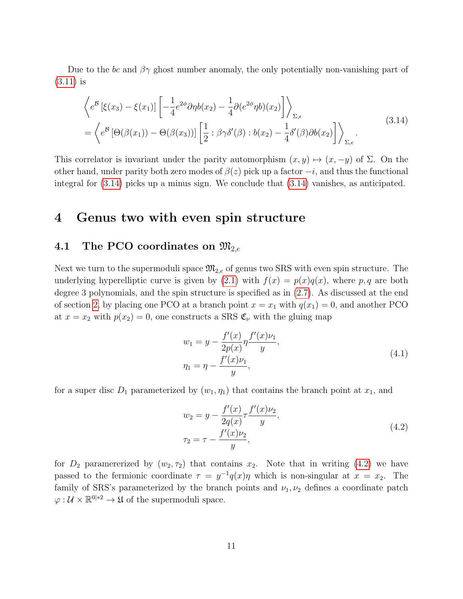Due to the bc and  $\beta\gamma$  ghost number anomaly, the only potentially non-vanishing part of [\(3.11\)](#page-10-2) is

<span id="page-11-2"></span>
$$
\left\langle e^{\mathcal{B}}\left[\xi(x_3) - \xi(x_1)\right] \left[ -\frac{1}{4} e^{2\phi} \partial \eta b(x_2) - \frac{1}{4} \partial(e^{2\phi} \eta b)(x_2) \right] \right\rangle_{\Sigma, \epsilon}
$$
\n
$$
= \left\langle e^{\mathcal{B}}\left[\Theta(\beta(x_1)) - \Theta(\beta(x_3))\right] \left[ \frac{1}{2} : \beta \gamma \delta'(\beta) : b(x_2) - \frac{1}{4} \delta'(\beta) \partial b(x_2) \right] \right\rangle_{\Sigma, \epsilon}.
$$
\n(3.14)

This correlator is invariant under the parity automorphism  $(x, y) \mapsto (x, -y)$  of  $\Sigma$ . On the other hand, under parity both zero modes of  $\beta(z)$  pick up a factor  $-i$ , and thus the functional integral for [\(3.14\)](#page-11-2) picks up a minus sign. We conclude that [\(3.14\)](#page-11-2) vanishes, as anticipated.

### <span id="page-11-0"></span>4 Genus two with even spin structure

### <span id="page-11-1"></span>4.1 The PCO coordinates on  $\mathfrak{M}_{2,e}$

Next we turn to the supermoduli space  $\mathfrak{M}_{2,e}$  of genus two SRS with even spin structure. The underlying hyperelliptic curve is given by  $(2.1)$  with  $f(x) = p(x)q(x)$ , where p, q are both degree 3 polynomials, and the spin structure is specified as in [\(2.7\)](#page-4-2). As discussed at the end of section [2,](#page-3-0) by placing one PCO at a branch point  $x = x_1$  with  $q(x_1) = 0$ , and another PCO at  $x = x_2$  with  $p(x_2) = 0$ , one constructs a SRS  $\mathfrak{C}_{\nu}$  with the gluing map

<span id="page-11-4"></span>
$$
w_1 = y - \frac{f'(x)}{2p(x)} \eta \frac{f'(x)\nu_1}{y},
$$
  
\n
$$
\eta_1 = \eta - \frac{f'(x)\nu_1}{y},
$$
\n(4.1)

for a super disc  $D_1$  parameterized by  $(w_1, \eta_1)$  that contains the branch point at  $x_1$ , and

<span id="page-11-3"></span>
$$
w_2 = y - \frac{f'(x)}{2q(x)} \tau \frac{f'(x)\nu_2}{y},
$$
  
\n
$$
\tau_2 = \tau - \frac{f'(x)\nu_2}{y},
$$
\n(4.2)

for  $D_2$  paramererized by  $(w_2, \tau_2)$  that contains  $x_2$ . Note that in writing [\(4.2\)](#page-11-3) we have passed to the fermionic coordinate  $\tau = y^{-1}q(x)\eta$  which is non-singular at  $x = x_2$ . The family of SRS's parameterized by the branch points and  $\nu_1, \nu_2$  defines a coordinate patch  $\varphi: \mathcal{U} \times \mathbb{R}^{0|*2} \to \mathfrak{U}$  of the supermoduli space.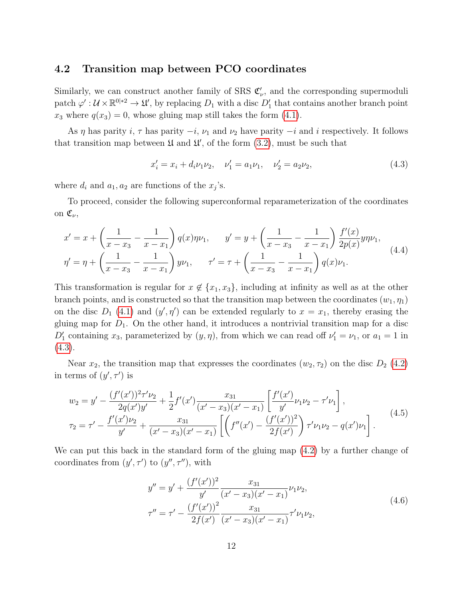#### <span id="page-12-0"></span>4.2 Transition map between PCO coordinates

Similarly, we can construct another family of SRS  $\mathfrak{C}'_{\nu}$ , and the corresponding supermoduli patch  $\varphi': \mathcal{U} \times \mathbb{R}^{0|*2} \to \mathfrak{U}'$ , by replacing  $D_1$  with a disc  $D'_1$  that contains another branch point  $x_3$  where  $q(x_3) = 0$ , whose gluing map still takes the form [\(4.1\)](#page-11-4).

As  $\eta$  has parity i,  $\tau$  has parity  $-i$ ,  $\nu_1$  and  $\nu_2$  have parity  $-i$  and i respectively. It follows that transition map between  $\mathfrak U$  and  $\mathfrak U'$ , of the form  $(3.2)$ , must be such that

<span id="page-12-1"></span>
$$
x'_i = x_i + d_i \nu_1 \nu_2, \quad \nu'_1 = a_1 \nu_1, \quad \nu'_2 = a_2 \nu_2,\tag{4.3}
$$

where  $d_i$  and  $a_1, a_2$  are functions of the  $x_j$ 's.

To proceed, consider the following superconformal reparameterization of the coordinates on  $\mathfrak{C}_{\nu}$ ,

$$
x' = x + \left(\frac{1}{x - x_3} - \frac{1}{x - x_1}\right) q(x)\eta \nu_1, \qquad y' = y + \left(\frac{1}{x - x_3} - \frac{1}{x - x_1}\right) \frac{f'(x)}{2p(x)} y\eta \nu_1,
$$
  

$$
\eta' = \eta + \left(\frac{1}{x - x_3} - \frac{1}{x - x_1}\right) y\nu_1, \qquad \tau' = \tau + \left(\frac{1}{x - x_3} - \frac{1}{x - x_1}\right) q(x)\nu_1.
$$
 (4.4)

This transformation is regular for  $x \notin \{x_1, x_3\}$ , including at infinity as well as at the other branch points, and is constructed so that the transition map between the coordinates  $(w_1, \eta_1)$ on the disc  $D_1$  [\(4.1\)](#page-11-4) and  $(y', \eta')$  can be extended regularly to  $x = x_1$ , thereby erasing the gluing map for  $D_1$ . On the other hand, it introduces a nontrivial transition map for a disc  $D'_1$  containing  $x_3$ , parameterized by  $(y, \eta)$ , from which we can read off  $\nu'_1 = \nu_1$ , or  $a_1 = 1$  in  $(4.3).$  $(4.3).$ 

Near  $x_2$ , the transition map that expresses the coordinates  $(w_2, \tau_2)$  on the disc  $D_2$  [\(4.2\)](#page-11-3) in terms of  $(y', \tau')$  is

$$
w_2 = y' - \frac{(f'(x'))^2 \tau' \nu_2}{2q(x')y'} + \frac{1}{2} f'(x') \frac{x_{31}}{(x'-x_3)(x'-x_1)} \left[ \frac{f'(x')}{y'} \nu_1 \nu_2 - \tau' \nu_1 \right],
$$
  
\n
$$
\tau_2 = \tau' - \frac{f'(x')\nu_2}{y'} + \frac{x_{31}}{(x'-x_3)(x'-x_1)} \left[ \left( f''(x') - \frac{(f'(x'))^2}{2f(x')} \right) \tau' \nu_1 \nu_2 - q(x') \nu_1 \right].
$$
\n(4.5)

We can put this back in the standard form of the gluing map [\(4.2\)](#page-11-3) by a further change of coordinates from  $(y', \tau')$  to  $(y'', \tau'')$ , with

$$
y'' = y' + \frac{(f'(x'))^2}{y'} \frac{x_{31}}{(x'-x_3)(x'-x_1)} \nu_1 \nu_2,
$$
  

$$
\tau'' = \tau' - \frac{(f'(x'))^2}{2f(x')} \frac{x_{31}}{(x'-x_3)(x'-x_1)} \tau' \nu_1 \nu_2,
$$
 (4.6)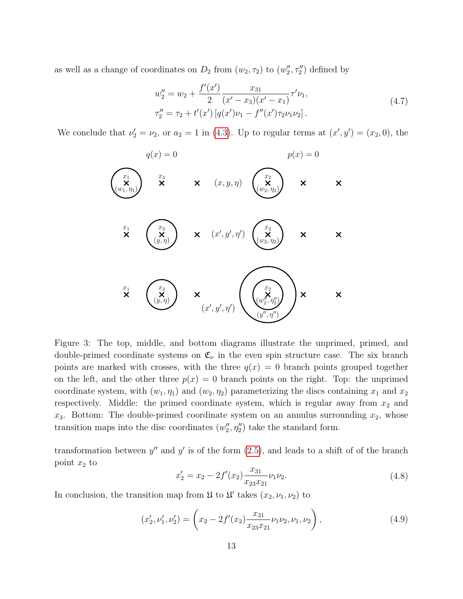as well as a change of coordinates on  $D_2$  from  $(w_2, \tau_2)$  to  $(w''_2, \tau''_2)$  defined by

$$
w_2'' = w_2 + \frac{f'(x')}{2} \frac{x_{31}}{(x'-x_3)(x'-x_1)} \tau' \nu_1,
$$
  
\n
$$
\tau_2'' = \tau_2 + t'(x') \left[ q(x')\nu_1 - f''(x')\tau_2\nu_1\nu_2 \right].
$$
\n(4.7)

We conclude that  $\nu_2' = \nu_2$ , or  $a_2 = 1$  in [\(4.3\)](#page-12-1). Up to regular terms at  $(x', y') = (x_2, 0)$ , the



Figure 3: The top, middle, and bottom diagrams illustrate the unprimed, primed, and double-primed coordinate systems on  $\mathfrak{C}_{\nu}$  in the even spin structure case. The six branch points are marked with crosses, with the three  $q(x) = 0$  branch points grouped together on the left, and the other three  $p(x) = 0$  branch points on the right. Top: the unprimed coordinate system, with  $(w_1, \eta_1)$  and  $(w_2, \eta_2)$  parameterizing the discs containing  $x_1$  and  $x_2$ respectively. Middle: the primed coordinate system, which is regular away from  $x_2$  and  $x_3$ . Bottom: The double-primed coordinate system on an annulus surrounding  $x_2$ , whose transition maps into the disc coordinates  $(w_2'', \eta_2'')$  take the standard form.

transformation between  $y''$  and  $y'$  is of the form  $(2.5)$ , and leads to a shift of of the branch point  $x_2$  to

$$
x_2' = x_2 - 2f'(x_2) \frac{x_{31}}{x_{23}x_{21}} \nu_1 \nu_2.
$$
\n(4.8)

In conclusion, the transition map from  $\mathfrak U$  to  $\mathfrak U'$  takes  $(x_2, \nu_1, \nu_2)$  to

<span id="page-13-0"></span>
$$
(x'_2, \nu'_1, \nu'_2) = \left(x_2 - 2f'(x_2) \frac{x_{31}}{x_{23}x_{21}} \nu_1 \nu_2, \nu_1, \nu_2\right),\tag{4.9}
$$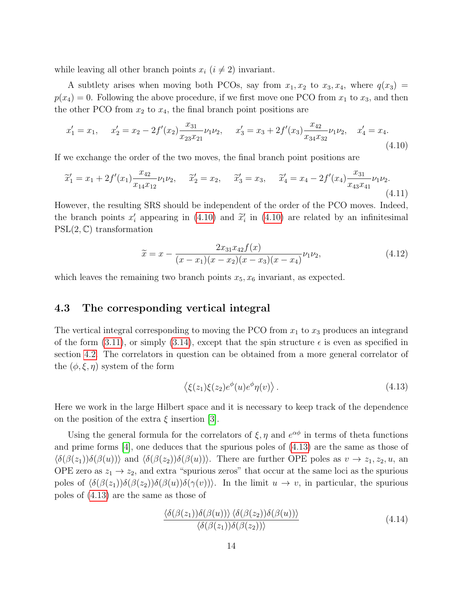while leaving all other branch points  $x_i$  ( $i \neq 2$ ) invariant.

A subtlety arises when moving both PCOs, say from  $x_1, x_2$  to  $x_3, x_4$ , where  $q(x_3)$  =  $p(x_4) = 0$ . Following the above procedure, if we first move one PCO from  $x_1$  to  $x_3$ , and then the other PCO from  $x_2$  to  $x_4$ , the final branch point positions are

<span id="page-14-1"></span>
$$
x_1' = x_1, \quad x_2' = x_2 - 2f'(x_2) \frac{x_{31}}{x_{23}x_{21}} \nu_1 \nu_2, \quad x_3' = x_3 + 2f'(x_3) \frac{x_{42}}{x_{34}x_{32}} \nu_1 \nu_2, \quad x_4' = x_4. \tag{4.10}
$$

If we exchange the order of the two moves, the final branch point positions are

$$
\widetilde{x}_1' = x_1 + 2f'(x_1)\frac{x_{42}}{x_{14}x_{12}}\nu_1\nu_2, \quad \widetilde{x}_2' = x_2, \quad \widetilde{x}_3' = x_3, \quad \widetilde{x}_4' = x_4 - 2f'(x_4)\frac{x_{31}}{x_{43}x_{41}}\nu_1\nu_2.
$$
\n(4.11)

However, the resulting SRS should be independent of the order of the PCO moves. Indeed, the branch points  $x'_i$  appearing in [\(4.10\)](#page-14-1) and  $\tilde{x}'_i$  in (4.10) are related by an infinitesimal<br>DCI(2.6) transformation  $PSL(2, \mathbb{C})$  transformation

$$
\widetilde{x} = x - \frac{2x_{31}x_{42}f(x)}{(x - x_1)(x - x_2)(x - x_3)(x - x_4)}\nu_1\nu_2,\tag{4.12}
$$

which leaves the remaining two branch points  $x_5, x_6$  invariant, as expected.

#### <span id="page-14-0"></span>4.3 The corresponding vertical integral

The vertical integral corresponding to moving the PCO from  $x_1$  to  $x_3$  produces an integrand of the form [\(3.11\)](#page-10-2), or simply [\(3.14\)](#page-11-2), except that the spin structure  $\epsilon$  is even as specified in section [4.2.](#page-12-0) The correlators in question can be obtained from a more general correlator of the  $(\phi, \xi, \eta)$  system of the form

<span id="page-14-2"></span>
$$
\langle \xi(z_1)\xi(z_2)e^{\phi}(u)e^{\phi}\eta(v)\rangle.
$$
\n(4.13)

Here we work in the large Hilbert space and it is necessary to keep track of the dependence on the position of the extra  $\xi$  insertion [\[3\]](#page-25-2).

Using the general formula for the correlators of  $\xi, \eta$  and  $e^{\alpha\phi}$  in terms of theta functions and prime forms  $[4]$ , one deduces that the spurious poles of  $(4.13)$  are the same as those of  $\langle \delta(\beta(z_1))\delta(\beta(u)) \rangle$  and  $\langle \delta(\beta(z_2))\delta(\beta(u)) \rangle$ . There are further OPE poles as  $v \to z_1, z_2, u$ , an OPE zero as  $z_1 \rightarrow z_2$ , and extra "spurious zeros" that occur at the same loci as the spurious poles of  $\langle \delta(\beta(z_1))\delta(\beta(z_2))\delta(\beta(u))\delta(\gamma(v))\rangle$ . In the limit  $u \to v$ , in particular, the spurious poles of [\(4.13\)](#page-14-2) are the same as those of

$$
\frac{\langle \delta(\beta(z_1))\delta(\beta(u)) \rangle \langle \delta(\beta(z_2))\delta(\beta(u)) \rangle}{\langle \delta(\beta(z_1))\delta(\beta(z_2)) \rangle} \tag{4.14}
$$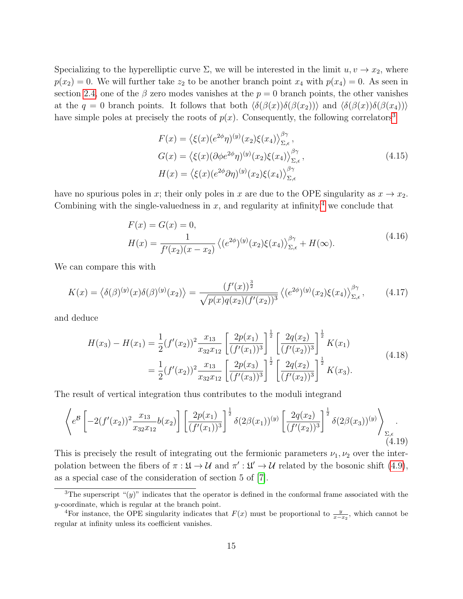Specializing to the hyperelliptic curve  $\Sigma$ , we will be interested in the limit  $u, v \to x_2$ , where  $p(x_2) = 0$ . We will further take  $z_2$  to be another branch point  $x_4$  with  $p(x_4) = 0$ . As seen in section [2.4,](#page-6-0) one of the  $\beta$  zero modes vanishes at the  $p = 0$  branch points, the other vanishes at the  $q = 0$  branch points. It follows that both  $\langle \delta(\beta(x))\delta(\beta(x_2)) \rangle$  and  $\langle \delta(\beta(x))\delta(\beta(x_4)) \rangle$ have simple poles at precisely the roots of  $p(x)$ . Consequently, the following correlators<sup>[3](#page-15-0)</sup>

$$
F(x) = \langle \xi(x)(e^{2\phi}\eta)^{(y)}(x_2)\xi(x_4)\rangle_{\Sigma,\epsilon}^{\beta\gamma},
$$
  
\n
$$
G(x) = \langle \xi(x)(\partial\phi e^{2\phi}\eta)^{(y)}(x_2)\xi(x_4)\rangle_{\Sigma,\epsilon}^{\beta\gamma},
$$
  
\n
$$
H(x) = \langle \xi(x)(e^{2\phi}\partial\eta)^{(y)}(x_2)\xi(x_4)\rangle_{\Sigma,\epsilon}^{\beta\gamma}
$$
\n(4.15)

have no spurious poles in x; their only poles in x are due to the OPE singularity as  $x \to x_2$ . Combining with the single-valuedness in  $x$ , and regularity at infinity,<sup>[4](#page-15-1)</sup> we conclude that

$$
F(x) = G(x) = 0,
$$
  
\n
$$
H(x) = \frac{1}{f'(x_2)(x - x_2)} \left\langle (e^{2\phi})^{(y)}(x_2) \xi(x_4) \right\rangle_{\Sigma, \epsilon}^{\beta \gamma} + H(\infty).
$$
\n(4.16)

We can compare this with

$$
K(x) = \langle \delta(\beta)^{(y)}(x)\delta(\beta)^{(y)}(x_2) \rangle = \frac{(f'(x))^{\frac{3}{2}}}{\sqrt{p(x)q(x_2)(f'(x_2))^3}} \langle (e^{2\phi})^{(y)}(x_2)\xi(x_4) \rangle_{\Sigma,\epsilon}^{\beta\gamma},\tag{4.17}
$$

and deduce

$$
H(x_3) - H(x_1) = \frac{1}{2} (f'(x_2))^2 \frac{x_{13}}{x_{32} x_{12}} \left[ \frac{2p(x_1)}{(f'(x_1))^3} \right]^{\frac{1}{2}} \left[ \frac{2q(x_2)}{(f'(x_2))^3} \right]^{\frac{1}{2}} K(x_1)
$$
  

$$
= \frac{1}{2} (f'(x_2))^2 \frac{x_{13}}{x_{32} x_{12}} \left[ \frac{2p(x_3)}{(f'(x_3))^3} \right]^{\frac{1}{2}} \left[ \frac{2q(x_2)}{(f'(x_2))^3} \right]^{\frac{1}{2}} K(x_3).
$$
 (4.18)

The result of vertical integration thus contributes to the moduli integrand

<span id="page-15-2"></span>
$$
\left\langle e^{B}\left[-2(f'(x_2))^{2}\frac{x_{13}}{x_{32}x_{12}}b(x_2)\right]\left[\frac{2p(x_1)}{(f'(x_1))^3}\right]^{\frac{1}{2}}\delta(2\beta(x_1))^{(y)}\left[\frac{2q(x_2)}{(f'(x_2))^3}\right]^{\frac{1}{2}}\delta(2\beta(x_3))^{(y)}\right\rangle_{\Sigma,\epsilon}.
$$
\n(4.19)

This is precisely the result of integrating out the fermionic parameters  $\nu_1, \nu_2$  over the interpolation between the fibers of  $\pi : \mathfrak{U} \to \mathcal{U}$  and  $\pi' : \mathfrak{U}' \to \mathcal{U}$  related by the bosonic shift [\(4.9\)](#page-13-0), as a special case of the consideration of section 5 of [\[7\]](#page-25-6).

<span id="page-15-0"></span><sup>&</sup>lt;sup>3</sup>The superscript " $(y)$ " indicates that the operator is defined in the conformal frame associated with the y-coordinate, which is regular at the branch point.

<span id="page-15-1"></span><sup>&</sup>lt;sup>4</sup>For instance, the OPE singularity indicates that  $F(x)$  must be proportional to  $\frac{y}{x-x_2}$ , which cannot be regular at infinity unless its coefficient vanishes.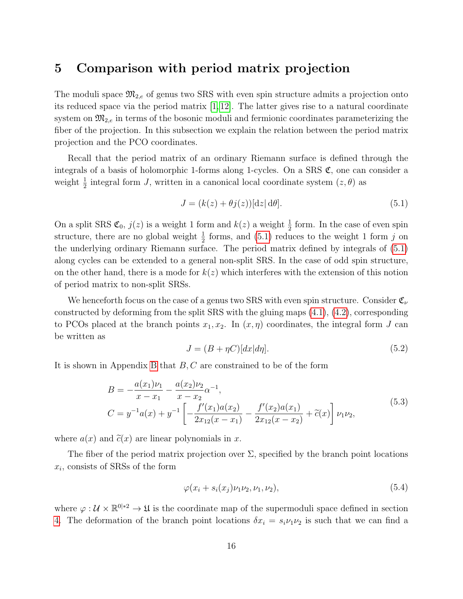## <span id="page-16-0"></span>5 Comparison with period matrix projection

The moduli space  $\mathfrak{M}_{2,e}$  of genus two SRS with even spin structure admits a projection onto its reduced space via the period matrix [\[1,](#page-25-0) [12\]](#page-25-8). The latter gives rise to a natural coordinate system on  $\mathfrak{M}_{2,e}$  in terms of the bosonic moduli and fermionic coordinates parameterizing the fiber of the projection. In this subsection we explain the relation between the period matrix projection and the PCO coordinates.

Recall that the period matrix of an ordinary Riemann surface is defined through the integrals of a basis of holomorphic 1-forms along 1-cycles. On a SRS  $\mathfrak{C}$ , one can consider a weight  $\frac{1}{2}$  integral form J, written in a canonical local coordinate system  $(z, \theta)$  as

<span id="page-16-1"></span>
$$
J = (k(z) + \theta j(z))[\mathrm{d}z] \,\mathrm{d}\theta].\tag{5.1}
$$

On a split SRS  $\mathfrak{C}_0$ ,  $j(z)$  is a weight 1 form and  $k(z)$  a weight  $\frac{1}{2}$  form. In the case of even spin structure, there are no global weight  $\frac{1}{2}$  forms, and [\(5.1\)](#page-16-1) reduces to the weight 1 form j on the underlying ordinary Riemann surface. The period matrix defined by integrals of [\(5.1\)](#page-16-1) along cycles can be extended to a general non-split SRS. In the case of odd spin structure, on the other hand, there is a mode for  $k(z)$  which interferes with the extension of this notion of period matrix to non-split SRSs.

We henceforth focus on the case of a genus two SRS with even spin structure. Consider  $\mathfrak{C}_{\nu}$ constructed by deforming from the split SRS with the gluing maps  $(4.1)$ ,  $(4.2)$ , corresponding to PCOs placed at the branch points  $x_1, x_2$ . In  $(x, \eta)$  coordinates, the integral form J can be written as

<span id="page-16-3"></span>
$$
J = (B + \eta C)[dx|d\eta].
$$
\n(5.2)

It is shown in Appendix [B](#page-22-0) that  $B, C$  are constrained to be of the form

$$
B = -\frac{a(x_1)\nu_1}{x - x_1} - \frac{a(x_2)\nu_2}{x - x_2}\alpha^{-1},
$$
  
\n
$$
C = y^{-1}a(x) + y^{-1} \left[ -\frac{f'(x_1)a(x_2)}{2x_{12}(x - x_1)} - \frac{f'(x_2)a(x_1)}{2x_{12}(x - x_2)} + \tilde{c}(x) \right] \nu_1 \nu_2,
$$
\n(5.3)

where  $a(x)$  and  $\tilde{c}(x)$  are linear polynomials in x.

The fiber of the period matrix projection over  $\Sigma$ , specified by the branch point locations  $x_i$ , consists of SRSs of the form

<span id="page-16-2"></span>
$$
\varphi(x_i + s_i(x_j)\nu_1\nu_2, \nu_1, \nu_2), \tag{5.4}
$$

where  $\varphi: \mathcal{U} \times \mathbb{R}^{0|*2} \to \mathfrak{U}$  is the coordinate map of the supermoduli space defined in section [4.](#page-11-0) The deformation of the branch point locations  $\delta x_i = s_i \nu_1 \nu_2$  is such that we can find a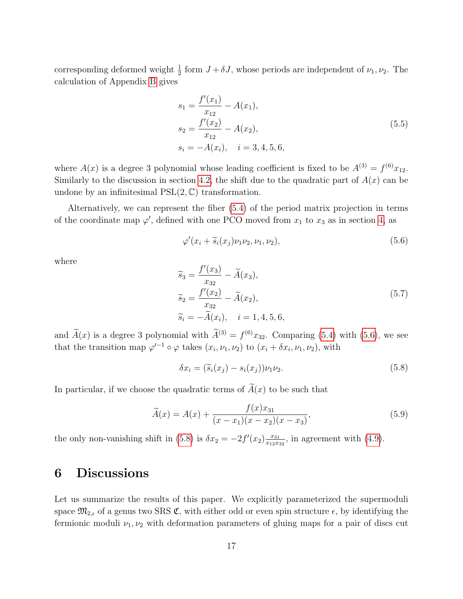corresponding deformed weight  $\frac{1}{2}$  form  $J + \delta J$ , whose periods are independent of  $\nu_1, \nu_2$ . The calculation of Appendix [B](#page-22-0) gives

<span id="page-17-3"></span>
$$
s_1 = \frac{f'(x_1)}{x_{12}} - A(x_1),
$$
  
\n
$$
s_2 = \frac{f'(x_2)}{x_{12}} - A(x_2),
$$
  
\n
$$
s_i = -A(x_i), \quad i = 3, 4, 5, 6,
$$
\n(5.5)

where  $A(x)$  is a degree 3 polynomial whose leading coefficient is fixed to be  $A^{(3)} = f^{(6)}x_{12}$ . Similarly to the discussion in section [4.2,](#page-12-0) the shift due to the quadratic part of  $A(x)$  can be undone by an infinitesimal  $PSL(2, \mathbb{C})$  transformation.

Alternatively, we can represent the fiber [\(5.4\)](#page-16-2) of the period matrix projection in terms of the coordinate map  $\varphi'$ , defined with one PCO moved from  $x_1$  to  $x_3$  as in section [4,](#page-11-0) as

<span id="page-17-1"></span>
$$
\varphi'(x_i + \widetilde{s}_i(x_j)\nu_1\nu_2, \nu_1, \nu_2), \qquad (5.6)
$$

where

$$
\widetilde{s}_3 = \frac{f'(x_3)}{x_{32}} - \widetilde{A}(x_3), \n\widetilde{s}_2 = \frac{f'(x_2)}{x_{32}} - \widetilde{A}(x_2), \n\widetilde{s}_i = -\widetilde{A}(x_i), \quad i = 1, 4, 5, 6,
$$
\n(5.7)

and  $A(x)$  is a degree 3 polynomial with  $A^{(3)} = f^{(6)}x_{32}$ . Comparing [\(5.4\)](#page-16-2) with [\(5.6\)](#page-17-1), we see that the transition map  $\varphi^{-1} \circ \varphi$  takes  $(x_i, \nu_1, \nu_2)$  to  $(x_i + \delta x_i, \nu_1, \nu_2)$ , with

<span id="page-17-2"></span>
$$
\delta x_i = (\tilde{s}_i(x_j) - s_i(x_j))\nu_1\nu_2.
$$
\n(5.8)

In particular, if we choose the quadratic terms of  $\widetilde{A}(x)$  to be such that

$$
\widetilde{A}(x) = A(x) + \frac{f(x)x_{31}}{(x - x_1)(x - x_2)(x - x_3)},
$$
\n(5.9)

the only non-vanishing shift in [\(5.8\)](#page-17-2) is  $\delta x_2 = -2f'(x_2) \frac{x_{31}}{x_{12}x_1}$  $\frac{x_{31}}{x_{12}x_{32}}$ , in agreement with  $(4.9)$ .

## <span id="page-17-0"></span>6 Discussions

Let us summarize the results of this paper. We explicitly parameterized the supermoduli space  $\mathfrak{M}_{2,\epsilon}$  of a genus two SRS  $\mathfrak{C}$ , with either odd or even spin structure  $\epsilon$ , by identifying the fermionic moduli  $\nu_1, \nu_2$  with deformation parameters of gluing maps for a pair of discs cut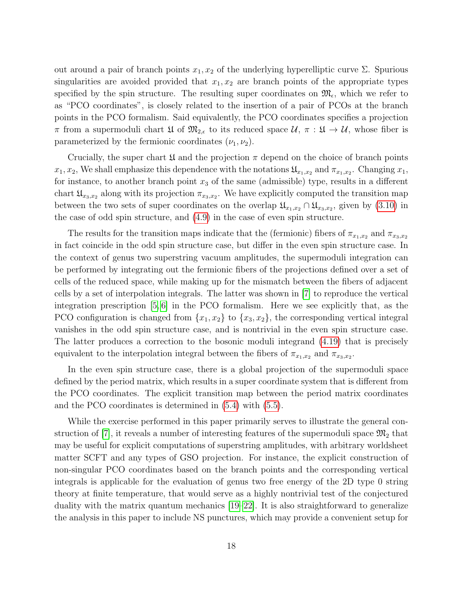out around a pair of branch points  $x_1, x_2$  of the underlying hyperelliptic curve  $\Sigma$ . Spurious singularities are avoided provided that  $x_1, x_2$  are branch points of the appropriate types specified by the spin structure. The resulting super coordinates on  $\mathfrak{M}_{\epsilon}$ , which we refer to as "PCO coordinates", is closely related to the insertion of a pair of PCOs at the branch points in the PCO formalism. Said equivalently, the PCO coordinates specifies a projection  $\pi$  from a supermoduli chart  $\mathfrak{U}$  of  $\mathfrak{M}_{2,\epsilon}$  to its reduced space  $\mathcal{U}, \pi : \mathfrak{U} \to \mathcal{U}$ , whose fiber is parameterized by the fermionic coordinates  $(\nu_1, \nu_2)$ .

Crucially, the super chart  $\mathfrak U$  and the projection  $\pi$  depend on the choice of branch points  $x_1, x_2$ , We shall emphasize this dependence with the notations  $\mathfrak{U}_{x_1,x_2}$  and  $\pi_{x_1,x_2}$ . Changing  $x_1$ , for instance, to another branch point  $x_3$  of the same (admissible) type, results in a different chart  $\mathfrak{U}_{x_3,x_2}$  along with its projection  $\pi_{x_3,x_2}$ . We have explicitly computed the transition map between the two sets of super coordinates on the overlap  $\mathfrak{U}_{x_1,x_2} \cap \mathfrak{U}_{x_3,x_2}$ , given by [\(3.10\)](#page-10-1) in the case of odd spin structure, and [\(4.9\)](#page-13-0) in the case of even spin structure.

The results for the transition maps indicate that the (fermionic) fibers of  $\pi_{x_1,x_2}$  and  $\pi_{x_3,x_2}$ in fact coincide in the odd spin structure case, but differ in the even spin structure case. In the context of genus two superstring vacuum amplitudes, the supermoduli integration can be performed by integrating out the fermionic fibers of the projections defined over a set of cells of the reduced space, while making up for the mismatch between the fibers of adjacent cells by a set of interpolation integrals. The latter was shown in [\[7\]](#page-25-6) to reproduce the vertical integration prescription [\[5,](#page-25-4) [6\]](#page-25-5) in the PCO formalism. Here we see explicitly that, as the PCO configuration is changed from  $\{x_1, x_2\}$  to  $\{x_3, x_2\}$ , the corresponding vertical integral vanishes in the odd spin structure case, and is nontrivial in the even spin structure case. The latter produces a correction to the bosonic moduli integrand [\(4.19\)](#page-15-2) that is precisely equivalent to the interpolation integral between the fibers of  $\pi_{x_1,x_2}$  and  $\pi_{x_3,x_2}$ .

In the even spin structure case, there is a global projection of the supermoduli space defined by the period matrix, which results in a super coordinate system that is different from the PCO coordinates. The explicit transition map between the period matrix coordinates and the PCO coordinates is determined in [\(5.4\)](#page-16-2) with [\(5.5\)](#page-17-3).

While the exercise performed in this paper primarily serves to illustrate the general con-struction of [\[7\]](#page-25-6), it reveals a number of interesting features of the supermoduli space  $\mathfrak{M}_2$  that may be useful for explicit computations of superstring amplitudes, with arbitrary worldsheet matter SCFT and any types of GSO projection. For instance, the explicit construction of non-singular PCO coordinates based on the branch points and the corresponding vertical integrals is applicable for the evaluation of genus two free energy of the 2D type 0 string theory at finite temperature, that would serve as a highly nontrivial test of the conjectured duality with the matrix quantum mechanics [\[19](#page-26-1)[–22\]](#page-26-2). It is also straightforward to generalize the analysis in this paper to include NS punctures, which may provide a convenient setup for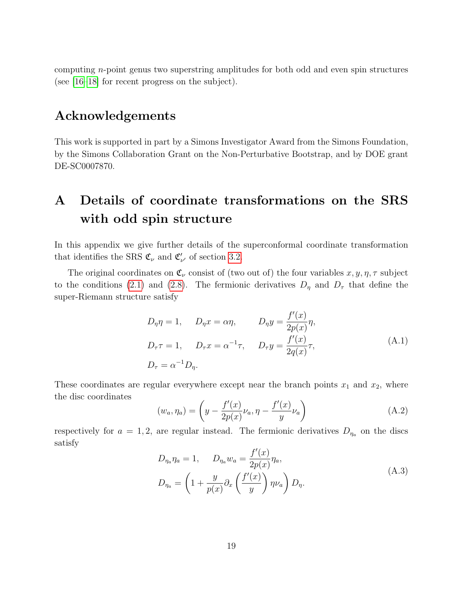computing n-point genus two superstring amplitudes for both odd and even spin structures (see [\[16](#page-25-9)[–18\]](#page-26-0) for recent progress on the subject).

### Acknowledgements

This work is supported in part by a Simons Investigator Award from the Simons Foundation, by the Simons Collaboration Grant on the Non-Perturbative Bootstrap, and by DOE grant DE-SC0007870.

# <span id="page-19-0"></span>A Details of coordinate transformations on the SRS with odd spin structure

In this appendix we give further details of the superconformal coordinate transformation that identifies the SRS  $\mathfrak{C}_{\nu}$  and  $\mathfrak{C}'_{\nu'}$  of section [3.2.](#page-8-0)

The original coordinates on  $\mathfrak{C}_{\nu}$  consist of (two out of) the four variables  $x, y, \eta, \tau$  subject to the conditions [\(2.1\)](#page-3-4) and [\(2.8\)](#page-4-3). The fermionic derivatives  $D_{\eta}$  and  $D_{\tau}$  that define the super-Riemann structure satisfy

<span id="page-19-2"></span>
$$
D_{\eta}\eta = 1, \qquad D_{\eta}x = \alpha\eta, \qquad D_{\eta}y = \frac{f'(x)}{2p(x)}\eta,
$$
  
\n
$$
D_{\tau}\tau = 1, \qquad D_{\tau}x = \alpha^{-1}\tau, \qquad D_{\tau}y = \frac{f'(x)}{2q(x)}\tau,
$$
  
\n
$$
D_{\tau} = \alpha^{-1}D_{\eta}.
$$
\n(A.1)

These coordinates are regular everywhere except near the branch points  $x_1$  and  $x_2$ , where the disc coordinates

<span id="page-19-1"></span>
$$
(w_a, \eta_a) = \left( y - \frac{f'(x)}{2p(x)} \nu_a, \eta - \frac{f'(x)}{y} \nu_a \right)
$$
 (A.2)

respectively for  $a = 1, 2$ , are regular instead. The fermionic derivatives  $D_{\eta_a}$  on the discs satisfy

$$
D_{\eta_a} \eta_a = 1, \qquad D_{\eta_a} w_a = \frac{f'(x)}{2p(x)} \eta_a,
$$
  

$$
D_{\eta_a} = \left(1 + \frac{y}{p(x)} \partial_x \left(\frac{f'(x)}{y}\right) \eta \nu_a\right) D_{\eta}.
$$
 (A.3)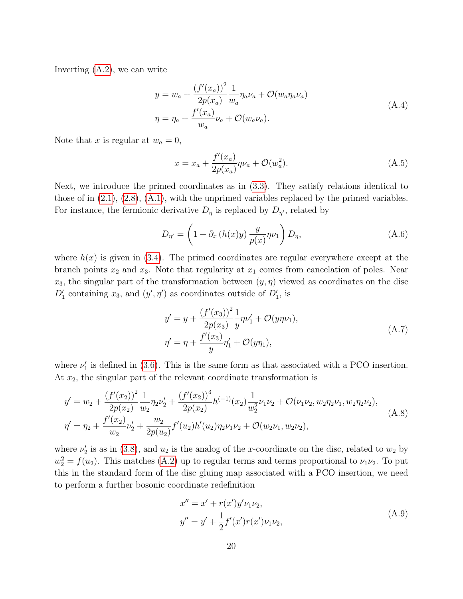Inverting [\(A.2\)](#page-19-1), we can write

$$
y = w_a + \frac{(f'(x_a))^2}{2p(x_a)} \frac{1}{w_a} \eta_a \nu_a + \mathcal{O}(w_a \eta_a \nu_a)
$$
  

$$
\eta = \eta_a + \frac{f'(x_a)}{w_a} \nu_a + \mathcal{O}(w_a \nu_a).
$$
 (A.4)

Note that x is regular at  $w_a = 0$ ,

$$
x = x_a + \frac{f'(x_a)}{2p(x_a)}\eta \nu_a + \mathcal{O}(w_a^2).
$$
 (A.5)

Next, we introduce the primed coordinates as in [\(3.3\)](#page-8-2). They satisfy relations identical to those of in [\(2.1\)](#page-3-4), [\(2.8\)](#page-4-3), [\(A.1\)](#page-19-2), with the unprimed variables replaced by the primed variables. For instance, the fermionic derivative  $D_{\eta}$  is replaced by  $D_{\eta'}$ , related by

$$
D_{\eta'} = \left(1 + \partial_x \left(h(x)y\right) \frac{y}{p(x)} \eta \nu_1\right) D_{\eta},\tag{A.6}
$$

where  $h(x)$  is given in [\(3.4\)](#page-8-3). The primed coordinates are regular everywhere except at the branch points  $x_2$  and  $x_3$ . Note that regularity at  $x_1$  comes from cancelation of poles. Near  $x_3$ , the singular part of the transformation between  $(y, \eta)$  viewed as coordinates on the disc  $D'_1$  containing  $x_3$ , and  $(y', \eta')$  as coordinates outside of  $D'_1$ , is

$$
y' = y + \frac{(f'(x_3))^2}{2p(x_3)} \frac{1}{y} \eta \nu'_1 + \mathcal{O}(y\eta \nu_1),
$$
  

$$
\eta' = \eta + \frac{f'(x_3)}{y} \eta'_1 + \mathcal{O}(y\eta_1),
$$
 (A.7)

where  $\nu'_{1}$  is defined in [\(3.6\)](#page-8-4). This is the same form as that associated with a PCO insertion. At  $x_2$ , the singular part of the relevant coordinate transformation is

$$
y' = w_2 + \frac{(f'(x_2))^2}{2p(x_2)} \frac{1}{w_2} \eta_2 \nu_2' + \frac{(f'(x_2))^3}{2p(x_2)} h^{(-1)}(x_2) \frac{1}{w_2^2} \nu_1 \nu_2 + \mathcal{O}(\nu_1 \nu_2, w_2 \eta_2 \nu_1, w_2 \eta_2 \nu_2),
$$
  
\n
$$
\eta' = \eta_2 + \frac{f'(x_2)}{w_2} \nu_2' + \frac{w_2}{2p(u_2)} f'(u_2) h'(u_2) \eta_2 \nu_1 \nu_2 + \mathcal{O}(w_2 \nu_1, w_2 \nu_2),
$$
\n(A.8)

where  $\nu'_{2}$  is as in [\(3.8\)](#page-9-1), and  $u_{2}$  is the analog of the x-coordinate on the disc, related to  $w_{2}$  by  $w_2^2 = f(u_2)$ . This matches [\(A.2\)](#page-19-1) up to regular terms and terms proportional to  $\nu_1 \nu_2$ . To put this in the standard form of the disc gluing map associated with a PCO insertion, we need to perform a further bosonic coordinate redefinition

$$
x'' = x' + r(x')y'\nu_1\nu_2,
$$
  
\n
$$
y'' = y' + \frac{1}{2}f'(x')r(x')\nu_1\nu_2,
$$
\n(A.9)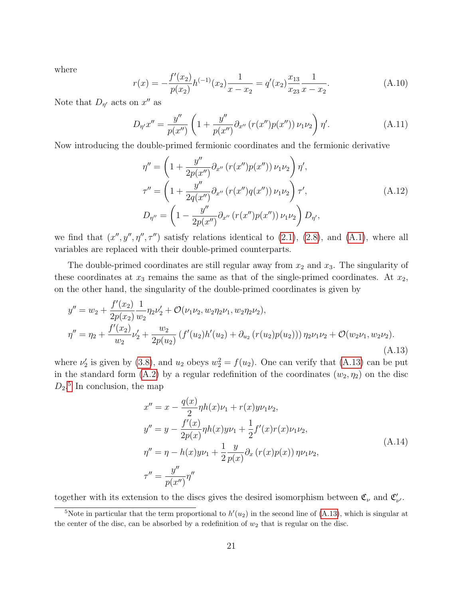where

$$
r(x) = -\frac{f'(x_2)}{p(x_2)}h^{(-1)}(x_2)\frac{1}{x - x_2} = q'(x_2)\frac{x_{13}}{x_{23}}\frac{1}{x - x_2}.
$$
 (A.10)

Note that  $D_{\eta'}$  acts on  $x''$  as

$$
D_{\eta'}x'' = \frac{y''}{p(x'')} \left(1 + \frac{y''}{p(x'')} \partial_{x''} \left(r(x'')p(x'')\right) \nu_1 \nu_2\right) \eta'.
$$
 (A.11)

Now introducing the double-primed fermionic coordinates and the fermionic derivative

$$
\eta'' = \left(1 + \frac{y''}{2p(x'')} \partial_{x''} (r(x'')p(x'')) \nu_1 \nu_2\right) \eta',
$$
  
\n
$$
\tau'' = \left(1 + \frac{y''}{2q(x'')} \partial_{x''} (r(x'')q(x'')) \nu_1 \nu_2\right) \tau',
$$
  
\n
$$
D_{\eta''} = \left(1 - \frac{y''}{2p(x'')} \partial_{x''} (r(x'')p(x'')) \nu_1 \nu_2\right) D_{\eta'},
$$
\n(A.12)

we find that  $(x'', y'', \eta'', \tau'')$  satisfy relations identical to  $(2.1)$ ,  $(2.8)$ , and  $(A.1)$ , where all variables are replaced with their double-primed counterparts.

The double-primed coordinates are still regular away from  $x_2$  and  $x_3$ . The singularity of these coordinates at  $x_3$  remains the same as that of the single-primed coordinates. At  $x_2$ , on the other hand, the singularity of the double-primed coordinates is given by

<span id="page-21-0"></span>
$$
y'' = w_2 + \frac{f'(x_2)}{2p(x_2)} \frac{1}{w_2} \eta_2 \nu'_2 + \mathcal{O}(\nu_1 \nu_2, w_2 \eta_2 \nu_1, w_2 \eta_2 \nu_2),
$$
  

$$
\eta'' = \eta_2 + \frac{f'(x_2)}{w_2} \nu'_2 + \frac{w_2}{2p(u_2)} \left( f'(u_2)h'(u_2) + \partial_{u_2} \left( r(u_2)p(u_2) \right) \right) \eta_2 \nu_1 \nu_2 + \mathcal{O}(w_2 \nu_1, w_2 \nu_2).
$$
\n(A.13)

where  $\nu_2'$  is given by [\(3.8\)](#page-9-1), and  $u_2$  obeys  $w_2^2 = f(u_2)$ . One can verify that [\(A.13\)](#page-21-0) can be put in the standard form [\(A.2\)](#page-19-1) by a regular redefinition of the coordinates  $(w_2, \eta_2)$  on the disc  $D_2$ <sup>[5](#page-21-1)</sup> In conclusion, the map

$$
x'' = x - \frac{q(x)}{2} \eta h(x) \nu_1 + r(x) y \nu_1 \nu_2,
$$
  
\n
$$
y'' = y - \frac{f'(x)}{2p(x)} \eta h(x) y \nu_1 + \frac{1}{2} f'(x) r(x) \nu_1 \nu_2,
$$
  
\n
$$
\eta'' = \eta - h(x) y \nu_1 + \frac{1}{2} \frac{y}{p(x)} \partial_x (r(x) p(x)) \eta \nu_1 \nu_2,
$$
  
\n
$$
\tau'' = \frac{y''}{p(x'')} \eta''
$$
\n(A.14)

together with its extension to the discs gives the desired isomorphism between  $\mathfrak{C}_{\nu}$  and  $\mathfrak{C}'_{\nu'}$ .

<span id="page-21-1"></span><sup>&</sup>lt;sup>5</sup>Note in particular that the term proportional to  $h'(u_2)$  in the second line of [\(A.13\)](#page-21-0), which is singular at the center of the disc, can be absorbed by a redefinition of  $w_2$  that is regular on the disc.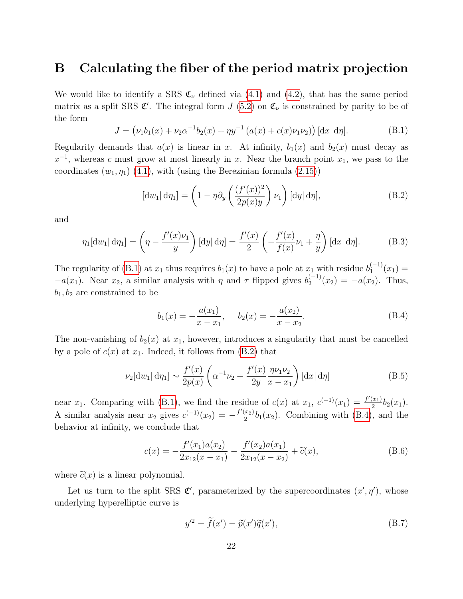### <span id="page-22-0"></span>B Calculating the fiber of the period matrix projection

We would like to identify a SRS  $\mathfrak{C}_{\nu}$  defined via [\(4.1\)](#page-11-4) and [\(4.2\)](#page-11-3), that has the same period matrix as a split SRS  $\mathfrak{C}'$ . The integral form  $J(5.2)$  $J(5.2)$  on  $\mathfrak{C}_{\nu}$  is constrained by parity to be of the form

<span id="page-22-1"></span>
$$
J = (\nu_1 b_1(x) + \nu_2 \alpha^{-1} b_2(x) + \eta y^{-1} (a(x) + c(x)\nu_1 \nu_2)) [\mathrm{d}x] \, \mathrm{d}\eta]. \tag{B.1}
$$

Regularity demands that  $a(x)$  is linear in x. At infinity,  $b_1(x)$  and  $b_2(x)$  must decay as  $x^{-1}$ , whereas c must grow at most linearly in x. Near the branch point  $x_1$ , we pass to the coordinates  $(w_1, \eta_1)$  [\(4.1\)](#page-11-4), with (using the Berezinian formula [\(2.15\)](#page-6-3))

<span id="page-22-2"></span>
$$
[\mathrm{d}w_1|\,\mathrm{d}\eta_1] = \left(1 - \eta \partial_y \left(\frac{(f'(x))^2}{2p(x)y}\right) \nu_1\right) [\mathrm{d}y|\,\mathrm{d}\eta],\tag{B.2}
$$

and

$$
\eta_1[\mathrm{d}w_1|\,\mathrm{d}\eta_1] = \left(\eta - \frac{f'(x)\nu_1}{y}\right)[\mathrm{d}y|\,\mathrm{d}\eta] = \frac{f'(x)}{2}\left(-\frac{f'(x)}{f(x)}\nu_1 + \frac{\eta}{y}\right)[\mathrm{d}x|\,\mathrm{d}\eta].\tag{B.3}
$$

The regularity of [\(B.1\)](#page-22-1) at  $x_1$  thus requires  $b_1(x)$  to have a pole at  $x_1$  with residue  $b_1^{(-1)}$  $1^{(-1)}(x_1) =$  $-a(x_1)$ . Near  $x_2$ , a similar analysis with  $\eta$  and  $\tau$  flipped gives  $b_2^{(-1)}$  $a_2^{(-1)}(x_2) = -a(x_2)$ . Thus,  $b_1, b_2$  are constrained to be

<span id="page-22-3"></span>
$$
b_1(x) = -\frac{a(x_1)}{x - x_1}, \quad b_2(x) = -\frac{a(x_2)}{x - x_2}.
$$
 (B.4)

The non-vanishing of  $b_2(x)$  at  $x_1$ , however, introduces a singularity that must be cancelled by a pole of  $c(x)$  at  $x_1$ . Indeed, it follows from [\(B.2\)](#page-22-2) that

$$
\nu_2[\mathrm{d}w_1|\mathrm{d}\eta_1] \sim \frac{f'(x)}{2p(x)} \left( \alpha^{-1}\nu_2 + \frac{f'(x)}{2y} \frac{\eta \nu_1 \nu_2}{x - x_1} \right) [\mathrm{d}x|\mathrm{d}\eta] \tag{B.5}
$$

near x<sub>1</sub>. Comparing with [\(B.1\)](#page-22-1), we find the residue of  $c(x)$  at  $x_1, c^{(-1)}(x_1) = \frac{f'(x_1)}{2}$  $rac{x_1}{2}b_2(x_1).$ A similar analysis near  $x_2$  gives  $c^{(-1)}(x_2) = -\frac{f'(x_2)}{2}$  $\frac{x_2}{2}b_1(x_2)$ . Combining with [\(B.4\)](#page-22-3), and the behavior at infinity, we conclude that

$$
c(x) = -\frac{f'(x_1)a(x_2)}{2x_{12}(x - x_1)} - \frac{f'(x_2)a(x_1)}{2x_{12}(x - x_2)} + \tilde{c}(x),
$$
 (B.6)

where  $\tilde{c}(x)$  is a linear polynomial.

Let us turn to the split SRS  $\mathfrak{C}'$ , parameterized by the supercoordinates  $(x', \eta')$ , whose underlying hyperelliptic curve is

$$
y'^2 = \tilde{f}(x') = \tilde{p}(x')\tilde{q}(x'),\tag{B.7}
$$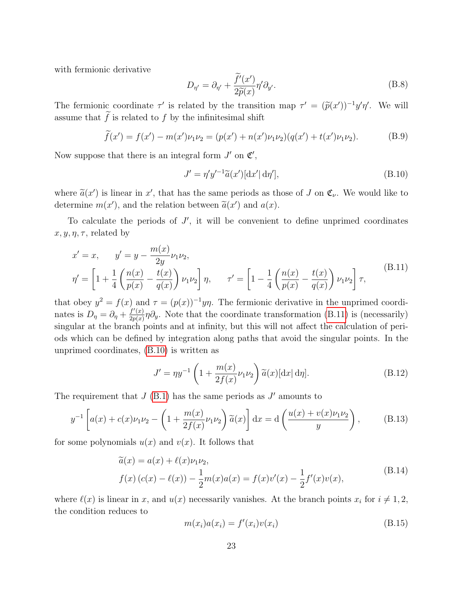with fermionic derivative

$$
D_{\eta'} = \partial_{\eta'} + \frac{\tilde{f}'(x')}{2\tilde{p}(x)} \eta' \partial_{y'}.
$$
\n(B.8)

The fermionic coordinate  $\tau'$  is related by the transition map  $\tau' = (\tilde{p}(x'))^{-1}y'\eta'$ . We will assume that  $\tilde{f}$  is related to f by the infinitesimal shift

$$
\widetilde{f}(x') = f(x') - m(x')\nu_1\nu_2 = (p(x') + n(x')\nu_1\nu_2)(q(x') + t(x')\nu_1\nu_2). \tag{B.9}
$$

Now suppose that there is an integral form  $J'$  on  $\mathfrak{C}',$ 

<span id="page-23-1"></span>
$$
J' = \eta' y'^{-1} \widetilde{a}(x') [\mathrm{d}x' | \mathrm{d}\eta'], \tag{B.10}
$$

where  $\tilde{a}(x')$  is linear in x', that has the same periods as those of J on  $\mathfrak{C}_{\nu}$ . We would like to determine  $w(x')$  and the valation between  $\tilde{\chi}(x')$  and  $s(x)$ determine  $m(x')$ , and the relation between  $\tilde{a}(x')$  and  $a(x)$ .

To calculate the periods of  $J'$ , it will be convenient to define unprimed coordinates  $x, y, \eta, \tau$ , related by

<span id="page-23-0"></span>
$$
x' = x, \t y' = y - \frac{m(x)}{2y} \nu_1 \nu_2,
$$
  

$$
\eta' = \left[1 + \frac{1}{4} \left(\frac{n(x)}{p(x)} - \frac{t(x)}{q(x)}\right) \nu_1 \nu_2\right] \eta, \t \tau' = \left[1 - \frac{1}{4} \left(\frac{n(x)}{p(x)} - \frac{t(x)}{q(x)}\right) \nu_1 \nu_2\right] \tau,
$$
 (B.11)

that obey  $y^2 = f(x)$  and  $\tau = (p(x))^{-1}y\eta$ . The fermionic derivative in the unprimed coordinates is  $D_{\eta} = \partial_{\eta} + \frac{f'(x)}{2n(x)}$  $\frac{f'(x)}{2p(x)}\eta\partial_y$ . Note that the coordinate transformation [\(B.11\)](#page-23-0) is (necessarily) singular at the branch points and at infinity, but this will not affect the calculation of periods which can be defined by integration along paths that avoid the singular points. In the unprimed coordinates, [\(B.10\)](#page-23-1) is written as

$$
J' = \eta y^{-1} \left( 1 + \frac{m(x)}{2f(x)} \nu_1 \nu_2 \right) \widetilde{a}(x) [\mathrm{d}x| \mathrm{d}\eta]. \tag{B.12}
$$

The requirement that  $J$  [\(B.1\)](#page-22-1) has the same periods as  $J'$  amounts to

$$
y^{-1}\left[a(x) + c(x)\nu_1\nu_2 - \left(1 + \frac{m(x)}{2f(x)}\nu_1\nu_2\right)\tilde{a}(x)\right]dx = d\left(\frac{u(x) + v(x)\nu_1\nu_2}{y}\right),\tag{B.13}
$$

for some polynomials  $u(x)$  and  $v(x)$ . It follows that

<span id="page-23-2"></span>
$$
\widetilde{a}(x) = a(x) + \ell(x)\nu_1\nu_2, \nf(x) (c(x) - \ell(x)) - \frac{1}{2}m(x)a(x) = f(x)v'(x) - \frac{1}{2}f'(x)v(x),
$$
\n(B.14)

where  $\ell(x)$  is linear in x, and  $u(x)$  necessarily vanishes. At the branch points  $x_i$  for  $i \neq 1, 2$ , the condition reduces to

$$
m(x_i)a(x_i) = f'(x_i)v(x_i)
$$
\n(B.15)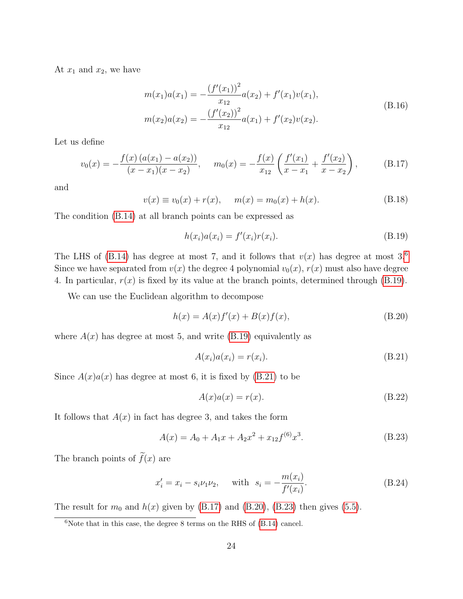At  $x_1$  and  $x_2$ , we have

$$
m(x_1)a(x_1) = -\frac{(f'(x_1))^2}{x_{12}}a(x_2) + f'(x_1)v(x_1),
$$
  
\n
$$
m(x_2)a(x_2) = -\frac{(f'(x_2))^2}{x_{12}}a(x_1) + f'(x_2)v(x_2).
$$
\n(B.16)

Let us define

<span id="page-24-3"></span>
$$
v_0(x) = -\frac{f(x)(a(x_1) - a(x_2))}{(x - x_1)(x - x_2)}, \quad m_0(x) = -\frac{f(x)}{x_{12}} \left( \frac{f'(x_1)}{x - x_1} + \frac{f'(x_2)}{x - x_2} \right), \quad (B.17)
$$

and

$$
v(x) \equiv v_0(x) + r(x), \qquad m(x) = m_0(x) + h(x). \tag{B.18}
$$

The condition [\(B.14\)](#page-23-2) at all branch points can be expressed as

<span id="page-24-1"></span>
$$
h(x_i)a(x_i) = f'(x_i)r(x_i).
$$
 (B.19)

The LHS of [\(B.14\)](#page-23-2) has degree at most 7, and it follows that  $v(x)$  has degree at most 3.<sup>[6](#page-24-0)</sup> Since we have separated from  $v(x)$  the degree 4 polynomial  $v_0(x)$ ,  $r(x)$  must also have degree 4. In particular,  $r(x)$  is fixed by its value at the branch points, determined through [\(B.19\)](#page-24-1).

We can use the Euclidean algorithm to decompose

<span id="page-24-4"></span>
$$
h(x) = A(x)f'(x) + B(x)f(x),
$$
 (B.20)

where  $A(x)$  has degree at most 5, and write [\(B.19\)](#page-24-1) equivalently as

<span id="page-24-2"></span>
$$
A(x_i)a(x_i) = r(x_i). \tag{B.21}
$$

Since  $A(x)a(x)$  has degree at most 6, it is fixed by [\(B.21\)](#page-24-2) to be

$$
A(x)a(x) = r(x). \tag{B.22}
$$

It follows that  $A(x)$  in fact has degree 3, and takes the form

<span id="page-24-5"></span>
$$
A(x) = A_0 + A_1 x + A_2 x^2 + x_{12} f^{(6)} x^3.
$$
 (B.23)

The branch points of  $\tilde{f}(x)$  are

$$
x'_{i} = x_{i} - s_{i}\nu_{1}\nu_{2}, \quad \text{with} \quad s_{i} = -\frac{m(x_{i})}{f'(x_{i})}.
$$
 (B.24)

The result for  $m_0$  and  $h(x)$  given by [\(B.17\)](#page-24-3) and [\(B.20\)](#page-24-4), [\(B.23\)](#page-24-5) then gives [\(5.5\)](#page-17-3).

<span id="page-24-0"></span> $6$ Note that in this case, the degree 8 terms on the RHS of [\(B.14\)](#page-23-2) cancel.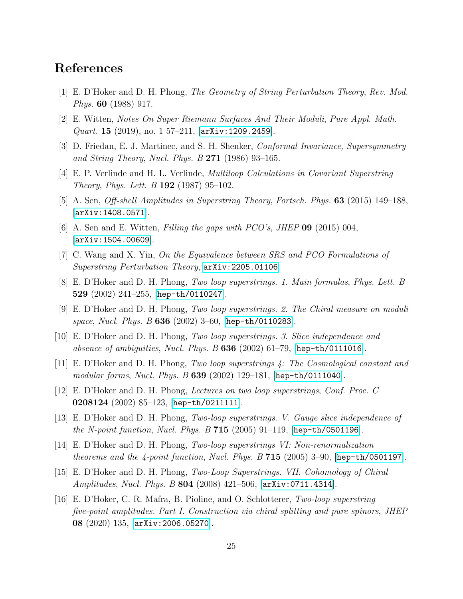### References

- <span id="page-25-0"></span>[1] E. D'Hoker and D. H. Phong, The Geometry of String Perturbation Theory, Rev. Mod. Phys. 60 (1988) 917.
- <span id="page-25-1"></span>[2] E. Witten, Notes On Super Riemann Surfaces And Their Moduli, Pure Appl. Math. Quart. 15 (2019), no. 1 57–211,  $[\text{arXiv:1209}.2459]$ .
- <span id="page-25-2"></span>[3] D. Friedan, E. J. Martinec, and S. H. Shenker, Conformal Invariance, Supersymmetry and String Theory, Nucl. Phys. B  $271$  (1986) 93-165.
- <span id="page-25-3"></span>[4] E. P. Verlinde and H. L. Verlinde, Multiloop Calculations in Covariant Superstring *Theory, Phys. Lett. B* 192 (1987) 95–102.
- <span id="page-25-4"></span>[5] A. Sen, Off-shell Amplitudes in Superstring Theory, Fortsch. Phys. 63 (2015) 149–188, [[arXiv:1408.0571](http://arxiv.org/abs/1408.0571)].
- <span id="page-25-5"></span>[6] A. Sen and E. Witten, Filling the gaps with  $PCO's$ , JHEP 09 (2015) 004, [[arXiv:1504.00609](http://arxiv.org/abs/1504.00609)].
- <span id="page-25-6"></span>[7] C. Wang and X. Yin, On the Equivalence between SRS and PCO Formulations of Superstring Perturbation Theory, [arXiv:2205.01106](http://arxiv.org/abs/2205.01106).
- <span id="page-25-7"></span>[8] E. D'Hoker and D. H. Phong, Two loop superstrings. 1. Main formulas, Phys. Lett. B 529 (2002) 241–255, [[hep-th/0110247](http://arxiv.org/abs/hep-th/0110247)].
- [9] E. D'Hoker and D. H. Phong, Two loop superstrings. 2. The Chiral measure on moduli space, Nucl. Phys. B 636 (2002) 3-60, [[hep-th/0110283](http://arxiv.org/abs/hep-th/0110283)].
- [10] E. D'Hoker and D. H. Phong, Two loop superstrings. 3. Slice independence and absence of ambiguities, Nucl. Phys. B  $636$  (2002) 61-79, [[hep-th/0111016](http://arxiv.org/abs/hep-th/0111016)].
- [11] E. D'Hoker and D. H. Phong, Two loop superstrings 4: The Cosmological constant and modular forms, Nucl. Phys. B 639 (2002) 129–181, [[hep-th/0111040](http://arxiv.org/abs/hep-th/0111040)].
- <span id="page-25-8"></span>[12] E. D'Hoker and D. H. Phong, Lectures on two loop superstrings, Conf. Proc. C 0208124 (2002) 85–123, [[hep-th/0211111](http://arxiv.org/abs/hep-th/0211111)].
- [13] E. D'Hoker and D. H. Phong, Two-loop superstrings. V. Gauge slice independence of the N-point function, Nucl. Phys. B 715 (2005) 91–119, [[hep-th/0501196](http://arxiv.org/abs/hep-th/0501196)].
- [14] E. D'Hoker and D. H. Phong, Two-loop superstrings VI: Non-renormalization theorems and the  $4$ -point function, Nucl. Phys. B  $715$  (2005) 3–90, [[hep-th/0501197](http://arxiv.org/abs/hep-th/0501197)].
- [15] E. D'Hoker and D. H. Phong, Two-Loop Superstrings. VII. Cohomology of Chiral Amplitudes, Nucl. Phys. B 804 (2008) 421–506, [[arXiv:0711.4314](http://arxiv.org/abs/0711.4314)].
- <span id="page-25-9"></span>[16] E. D'Hoker, C. R. Mafra, B. Pioline, and O. Schlotterer, Two-loop superstring five-point amplitudes. Part I. Construction via chiral splitting and pure spinors, JHEP 08 (2020) 135, [[arXiv:2006.05270](http://arxiv.org/abs/2006.05270)].